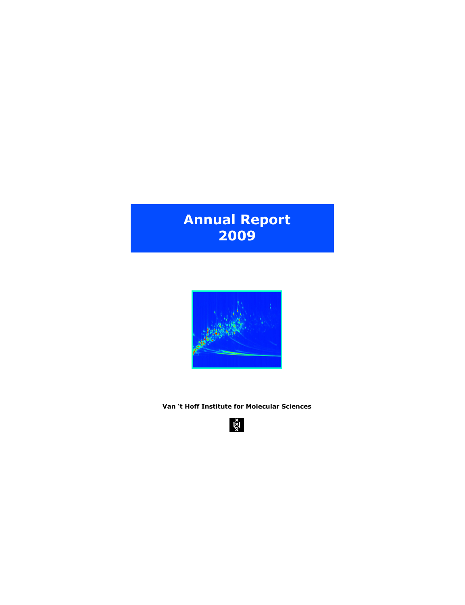# **Annual Report 2009**



**Van 't Hoff Institute for Molecular Sciences**

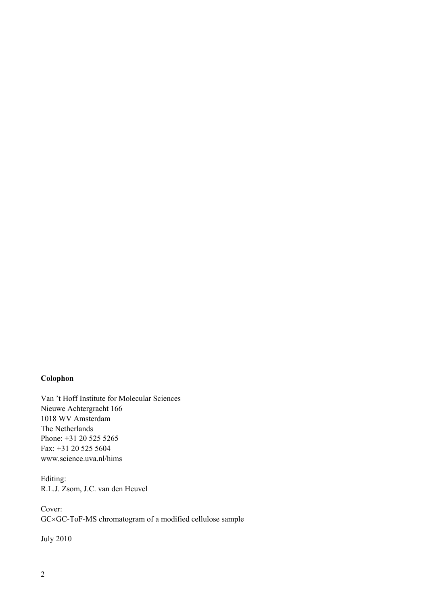# **Colophon**

Van 't Hoff Institute for Molecular Sciences Nieuwe Achtergracht 166 1018 WV Amsterdam The Netherlands Phone: +31 20 525 5265 Fax: +31 20 525 5604 www.science.uva.nl/hims

Editing: R.L.J. Zsom, J.C. van den Heuvel

Cover: GC×GC-ToF-MS chromatogram of a modified cellulose sample

July 2010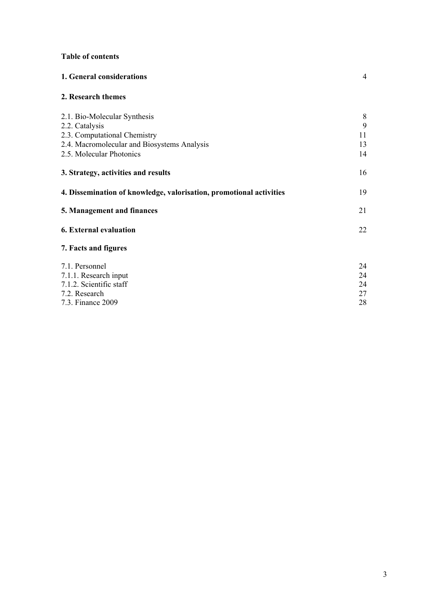# **Table of contents**

| <b>1. General considerations</b> |  |  |
|----------------------------------|--|--|
|                                  |  |  |

# **2. Research themes**

| 2.1. Bio-Molecular Synthesis                                        | 8  |
|---------------------------------------------------------------------|----|
| 2.2. Catalysis                                                      | 9  |
| 2.3. Computational Chemistry                                        | 11 |
| 2.4. Macromolecular and Biosystems Analysis                         | 13 |
| 2.5. Molecular Photonics                                            | 14 |
| 3. Strategy, activities and results                                 | 16 |
| 4. Dissemination of knowledge, valorisation, promotional activities | 19 |
| 5. Management and finances                                          | 21 |
| <b>6. External evaluation</b>                                       | 22 |
| 7. Facts and figures                                                |    |
| 7.1. Personnel                                                      | 24 |
| 7.1.1. Research input                                               | 24 |
| 7.1.2. Scientific staff                                             | 24 |
| 7.2. Research                                                       | 27 |
| 7.3. Finance 2009                                                   | 28 |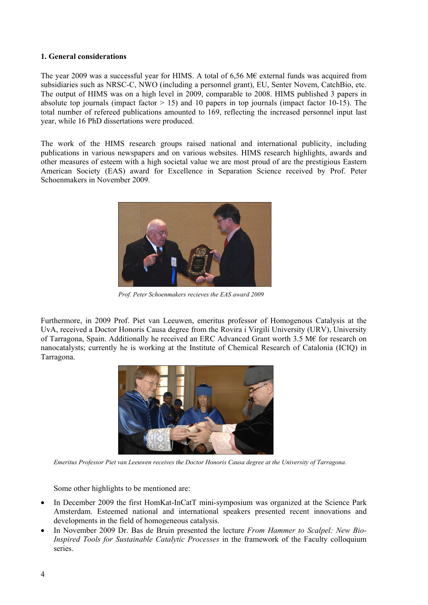#### **1. General considerations**

The year 2009 was a successful year for HIMS. A total of 6,56 M€ external funds was acquired from subsidiaries such as NRSC-C, NWO (including a personnel grant), EU, Senter Novem, CatchBio, etc. The output of HIMS was on a high level in 2009, comparable to 2008. HIMS published 3 papers in absolute top journals (impact factor  $> 15$ ) and 10 papers in top journals (impact factor 10-15). The total number of refereed publications amounted to 169, reflecting the increased personnel input last year, while 16 PhD dissertations were produced.

The work of the HIMS research groups raised national and international publicity, including publications in various newspapers and on various websites. HIMS research highlights, awards and other measures of esteem with a high societal value we are most proud of are the prestigious Eastern American Society (EAS) award for Excellence in Separation Science received by Prof. Peter Schoenmakers in November 2009.



*Prof. Peter Schoenmakers recieves the EAS award 2009* 

Furthermore, in 2009 Prof. Piet van Leeuwen, emeritus professor of Homogenous Catalysis at the UvA, received a Doctor Honoris Causa degree from the Rovira i Virgili University (URV), University of Tarragona, Spain. Additionally he received an ERC Advanced Grant worth 3.5 M€ for research on nanocatalysts; currently he is working at the Institute of Chemical Research of Catalonia (ICIQ) in Tarragona.



*Emeritus Professor Piet van Leeuwen receives the Doctor Honoris Causa degree at the University of Tarragona.* 

Some other highlights to be mentioned are:

- In December 2009 the first HomKat-InCatT mini-symposium was organized at the Science Park Amsterdam. Esteemed national and international speakers presented recent innovations and developments in the field of homogeneous catalysis.
- In November 2009 Dr. Bas de Bruin presented the lecture *From Hammer to Scalpel: New Bio-Inspired Tools for Sustainable Catalytic Processes* in the framework of the Faculty colloquium series.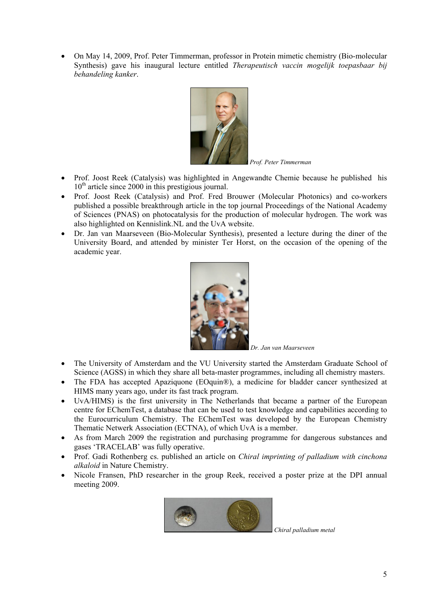On May 14, 2009, Prof. Peter Timmerman, professor in Protein mimetic chemistry (Bio-molecular Synthesis) gave his inaugural lecture entitled *Therapeutisch vaccin mogelijk toepasbaar bij behandeling kanker*.



*Prof. Peter Timmerman*

- Prof. Joost Reek (Catalysis) was highlighted in Angewandte Chemie because he published his  $10<sup>th</sup>$  article since 2000 in this prestigious journal.
- Prof. Joost Reek (Catalysis) and Prof. Fred Brouwer (Molecular Photonics) and co-workers published a possible breakthrough article in the top journal Proceedings of the National Academy of Sciences (PNAS) on photocatalysis for the production of molecular hydrogen. The work was also highlighted on Kennislink.NL and the UvA website.
- Dr. Jan van Maarseveen (Bio-Molecular Synthesis), presented a lecture during the diner of the University Board, and attended by minister Ter Horst, on the occasion of the opening of the academic year.



- The University of Amsterdam and the VU University started the Amsterdam Graduate School of Science (AGSS) in which they share all beta-master programmes, including all chemistry masters.
- The FDA has accepted Apaziquone (EOquin®), a medicine for bladder cancer synthesized at HIMS many years ago, under its fast track program.
- UvA/HIMS) is the first university in The Netherlands that became a partner of the European centre for EChemTest, a database that can be used to test knowledge and capabilities according to the Eurocurriculum Chemistry. The EChemTest was developed by the European Chemistry Thematic Netwerk Association (ECTNA), of which UvA is a member.
- As from March 2009 the registration and purchasing programme for dangerous substances and gases 'TRACELAB' was fully operative.
- Prof. Gadi Rothenberg cs. published an article on *Chiral imprinting of palladium with cinchona alkaloid* in Nature Chemistry.
- Nicole Fransen, PhD researcher in the group Reek, received a poster prize at the DPI annual meeting 2009.



*Chiral palladium metal*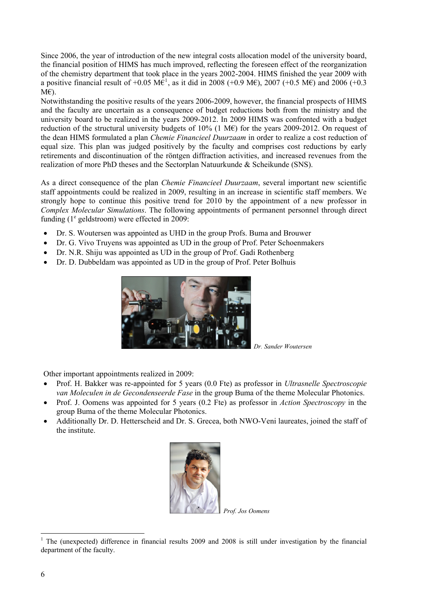Since 2006, the year of introduction of the new integral costs allocation model of the university board, the financial position of HIMS has much improved, reflecting the foreseen effect of the reorganization of the chemistry department that took place in the years 2002-2004. HIMS finished the year 2009 with a positive financial result of +0.05 M $\hat{\epsilon}^1$  $\hat{\epsilon}^1$ , as it did in 2008 (+0.9 M $\epsilon$ ), 2007 (+0.5 M $\epsilon$ ) and 2006 (+0.3 M€).

Notwithstanding the positive results of the years 2006-2009, however, the financial prospects of HIMS and the faculty are uncertain as a consequence of budget reductions both from the ministry and the university board to be realized in the years 2009-2012. In 2009 HIMS was confronted with a budget reduction of the structural university budgets of  $10\%$  (1 M $\epsilon$ ) for the years 2009-2012. On request of the dean HIMS formulated a plan *Chemie Financieel Duurzaam* in order to realize a cost reduction of equal size. This plan was judged positively by the faculty and comprises cost reductions by early retirements and discontinuation of the röntgen diffraction activities, and increased revenues from the realization of more PhD theses and the Sectorplan Natuurkunde & Scheikunde (SNS).

As a direct consequence of the plan *Chemie Financieel Duurzaam*, several important new scientific staff appointments could be realized in 2009, resulting in an increase in scientific staff members. We strongly hope to continue this positive trend for 2010 by the appointment of a new professor in *Complex Molecular Simulations*. The following appointments of permanent personnel through direct funding  $(1^e$  geldstroom) were effected in 2009:

- Dr. S. Woutersen was appointed as UHD in the group Profs. Buma and Brouwer
- Dr. G. Vivo Truyens was appointed as UD in the group of Prof. Peter Schoenmakers
- Dr. N.R. Shiju was appointed as UD in the group of Prof. Gadi Rothenberg
- Dr. D. Dubbeldam was appointed as UD in the group of Prof. Peter Bolhuis



*Dr. Sander Woutersen* 

Other important appointments realized in 2009:

- Prof. H. Bakker was re-appointed for 5 years (0.0 Fte) as professor in *Ultrasnelle Spectroscopie van Moleculen in de Gecondenseerde Fase* in the group Buma of the theme Molecular Photonics.
- Prof. J. Oomens was appointed for 5 years (0.2 Fte) as professor in *Action Spectroscopy* in the group Buma of the theme Molecular Photonics.
- Additionally Dr. D. Hetterscheid and Dr. S. Grecea, both NWO-Veni laureates, joined the staff of the institute.



*Prof. Jos Oomens*

<span id="page-5-0"></span> $\overline{a}$ 1 The (unexpected) difference in financial results 2009 and 2008 is still under investigation by the financial department of the faculty.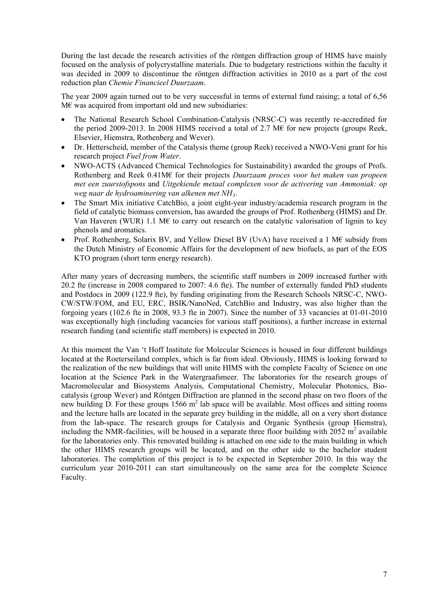During the last decade the research activities of the röntgen diffraction group of HIMS have mainly focused on the analysis of polycrystalline materials. Due to budgetary restrictions within the faculty it was decided in 2009 to discontinue the röntgen diffraction activities in 2010 as a part of the cost reduction plan *Chemie Financieel Duurzaam*.

The year 2009 again turned out to be very successful in terms of external fund raising; a total of 6,56 M€ was acquired from important old and new subsidiaries:

- The National Research School Combination-Catalysis (NRSC-C) was recently re-accredited for the period 2009-2013. In 2008 HIMS received a total of 2.7 M $\epsilon$  for new projects (groups Reek, Elsevier, Hiemstra, Rothenberg and Wever).
- Dr. Hetterscheid, member of the Catalysis theme (group Reek) received a NWO-Veni grant for his research project *Fuel from Water*.
- NWO-ACTS (Advanced Chemical Technologies for Sustainability) awarded the groups of Profs. Rothenberg and Reek 0.41M€ for their projects *Duurzaam proces voor het maken van propeen met een zuurstofspons* and *Uitgekiende metaal complexen voor de activering van Ammoniak: op weg naar de hydroaminering van alkenen met NH3.*
- The Smart Mix initiative CatchBio, a joint eight-year industry/academia research program in the field of catalytic biomass conversion, has awarded the groups of Prof. Rothenberg (HIMS) and Dr. Van Haveren (WUR) 1.1 M€ to carry out research on the catalytic valorisation of lignin to key phenols and aromatics.
- Prof. Rothenberg, Solarix BV, and Yellow Diesel BV (UvA) have received a 1 M€ subsidy from the Dutch Ministry of Economic Affairs for the development of new biofuels, as part of the EOS KTO program (short term energy research).

After many years of decreasing numbers, the scientific staff numbers in 2009 increased further with 20.2 fte (increase in 2008 compared to 2007: 4.6 fte). The number of externally funded PhD students and Postdocs in 2009 (122.9 fte), by funding originating from the Research Schools NRSC-C, NWO-CW/STW/FOM, and EU, ERC, BSIK/NanoNed, CatchBio and Industry, was also higher than the forgoing years (102.6 fte in 2008, 93.3 fte in 2007). Since the number of 33 vacancies at 01-01-2010 was exceptionally high (including vacancies for various staff positions), a further increase in external research funding (and scientific staff members) is expected in 2010.

At this moment the Van 't Hoff Institute for Molecular Sciences is housed in four different buildings located at the Roeterseiland complex, which is far from ideal. Obviously, HIMS is looking forward to the realization of the new buildings that will unite HIMS with the complete Faculty of Science on one location at the Science Park in the Watergraafsmeer. The laboratories for the research groups of Macromolecular and Biosystems Analysis, Computational Chemistry, Molecular Photonics, Biocatalysis (group Wever) and Röntgen Diffraction are planned in the second phase on two floors of the new building  $\overline{D}$ . For these groups 1566 m<sup>2</sup> lab space will be available. Most offices and sitting rooms and the lecture halls are located in the separate grey building in the middle, all on a very short distance from the lab-space. The research groups for Catalysis and Organic Synthesis (group Hiemstra), including the NMR-facilities, will be housed in a separate three floor building with  $2052 \text{ m}^2$  available for the laboratories only. This renovated building is attached on one side to the main building in which the other HIMS research groups will be located, and on the other side to the bachelor student laboratories. The completion of this project is to be expected in September 2010. In this way the curriculum year 2010-2011 can start simultaneously on the same area for the complete Science Faculty.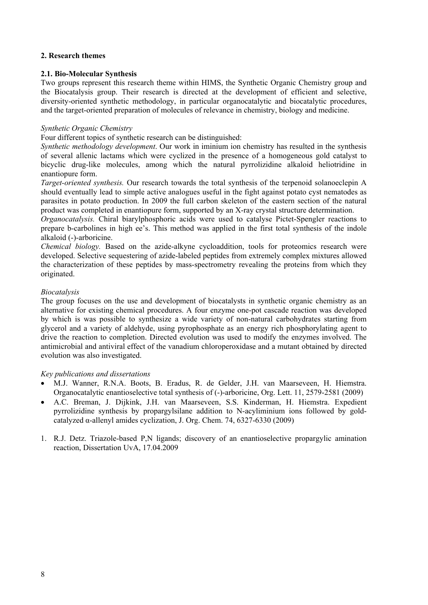## **2. Research themes**

#### **2.1. Bio-Molecular Synthesis**

Two groups represent this research theme within HIMS, the Synthetic Organic Chemistry group and the Biocatalysis group. Their research is directed at the development of efficient and selective, diversity-oriented synthetic methodology, in particular organocatalytic and biocatalytic procedures, and the target-oriented preparation of molecules of relevance in chemistry, biology and medicine.

#### *Synthetic Organic Chemistry*

Four different topics of synthetic research can be distinguished:

*Synthetic methodology development*. Our work in iminium ion chemistry has resulted in the synthesis of several allenic lactams which were cyclized in the presence of a homogeneous gold catalyst to bicyclic drug-like molecules, among which the natural pyrrolizidine alkaloid heliotridine in enantiopure form.

*Target-oriented synthesis.* Our research towards the total synthesis of the terpenoid solanoeclepin A should eventually lead to simple active analogues useful in the fight against potato cyst nematodes as parasites in potato production. In 2009 the full carbon skeleton of the eastern section of the natural product was completed in enantiopure form, supported by an X-ray crystal structure determination.

*Organocatalysis.* Chiral biarylphosphoric acids were used to catalyse Pictet-Spengler reactions to prepare b-carbolines in high ee's. This method was applied in the first total synthesis of the indole alkaloid (-)-arboricine.

*Chemical biology.* Based on the azide-alkyne cycloaddition, tools for proteomics research were developed. Selective sequestering of azide-labeled peptides from extremely complex mixtures allowed the characterization of these peptides by mass-spectrometry revealing the proteins from which they originated.

## *Biocatalysis*

The group focuses on the use and development of biocatalysts in synthetic organic chemistry as an alternative for existing chemical procedures. A four enzyme one-pot cascade reaction was developed by which is was possible to synthesize a wide variety of non-natural carbohydrates starting from glycerol and a variety of aldehyde, using pyrophosphate as an energy rich phosphorylating agent to drive the reaction to completion. Directed evolution was used to modify the enzymes involved. The antimicrobial and antiviral effect of the vanadium chloroperoxidase and a mutant obtained by directed evolution was also investigated.

#### *Key publications and dissertations*

- M.J. Wanner, R.N.A. Boots, B. Eradus, R. de Gelder, J.H. van Maarseveen, H. Hiemstra. Organocatalytic enantioselective total synthesis of (-)-arboricine, Org. Lett. 11, 2579-2581 (2009)
- A.C. Breman, J. Dijkink, J.H. van Maarseveen, S.S. Kinderman, H. Hiemstra. Expedient pyrrolizidine synthesis by propargylsilane addition to N-acyliminium ions followed by goldcatalyzed  $\alpha$ -allenyl amides cyclization, J. Org. Chem. 74, 6327-6330 (2009)
- 1. R.J. Detz. Triazole-based P,N ligands; discovery of an enantioselective propargylic amination reaction, Dissertation UvA, 17.04.2009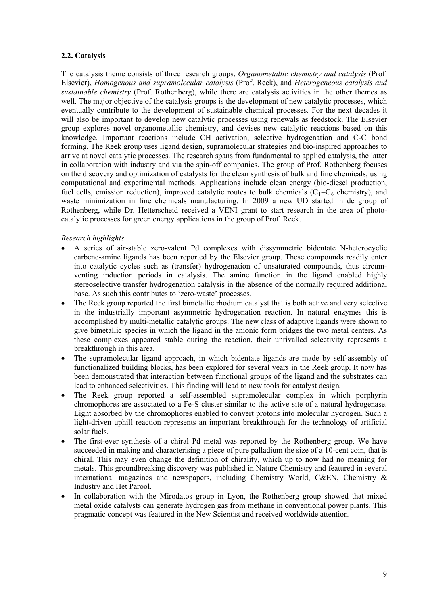# **2.2. Catalysis**

The catalysis theme consists of three research groups, *Organometallic chemistry and catalysis* (Prof. Elsevier), *Homogenous and supramolecular catalysis* (Prof. Reek), and *Heterogeneous catalysis and sustainable chemistry* (Prof. Rothenberg), while there are catalysis activities in the other themes as well. The major objective of the catalysis groups is the development of new catalytic processes, which eventually contribute to the development of sustainable chemical processes. For the next decades it will also be important to develop new catalytic processes using renewals as feedstock. The Elsevier group explores novel organometallic chemistry, and devises new catalytic reactions based on this knowledge. Important reactions include CH activation, selective hydrogenation and C-C bond forming. The Reek group uses ligand design, supramolecular strategies and bio-inspired approaches to arrive at novel catalytic processes. The research spans from fundamental to applied catalysis, the latter in collaboration with industry and via the spin-off companies. The group of Prof. Rothenberg focuses on the discovery and optimization of catalysts for the clean synthesis of bulk and fine chemicals, using computational and experimental methods. Applications include clean energy (bio-diesel production, fuel cells, emission reduction), improved catalytic routes to bulk chemicals  $(C_1-C_6$  chemistry), and waste minimization in fine chemicals manufacturing. In 2009 a new UD started in de group of Rothenberg, while Dr. Hetterscheid received a VENI grant to start research in the area of photocatalytic processes for green energy applications in the group of Prof. Reek.

# *Research highlights*

- A series of air-stable zero-valent Pd complexes with dissymmetric bidentate N-heterocyclic carbene-amine ligands has been reported by the Elsevier group. These compounds readily enter into catalytic cycles such as (transfer) hydrogenation of unsaturated compounds, thus circumventing induction periods in catalysis. The amine function in the ligand enabled highly stereoselective transfer hydrogenation catalysis in the absence of the normally required additional base. As such this contributes to 'zero-waste' processes.
- The Reek group reported the first bimetallic rhodium catalyst that is both active and very selective in the industrially important asymmetric hydrogenation reaction. In natural enzymes this is accomplished by multi-metallic catalytic groups. The new class of adaptive ligands were shown to give bimetallic species in which the ligand in the anionic form bridges the two metal centers. As these complexes appeared stable during the reaction, their unrivalled selectivity represents a breakthrough in this area.
- The supramolecular ligand approach, in which bidentate ligands are made by self-assembly of functionalized building blocks, has been explored for several years in the Reek group. It now has been demonstrated that interaction between functional groups of the ligand and the substrates can lead to enhanced selectivities. This finding will lead to new tools for catalyst design*.*
- The Reek group reported a self-assembled supramolecular complex in which porphyrin chromophores are associated to a Fe-S cluster similar to the active site of a natural hydrogenase. Light absorbed by the chromophores enabled to convert protons into molecular hydrogen. Such a light-driven uphill reaction represents an important breakthrough for the technology of artificial solar fuels.
- The first-ever synthesis of a chiral Pd metal was reported by the Rothenberg group. We have succeeded in making and characterising a piece of pure palladium the size of a 10-cent coin, that is chiral. This may even change the definition of chirality, which up to now had no meaning for metals. This groundbreaking discovery was published in Nature Chemistry and featured in several international magazines and newspapers, including Chemistry World, C&EN, Chemistry & Industry and Het Parool.
- In collaboration with the Mirodatos group in Lyon, the Rothenberg group showed that mixed metal oxide catalysts can generate hydrogen gas from methane in conventional power plants. This pragmatic concept was featured in the New Scientist and received worldwide attention.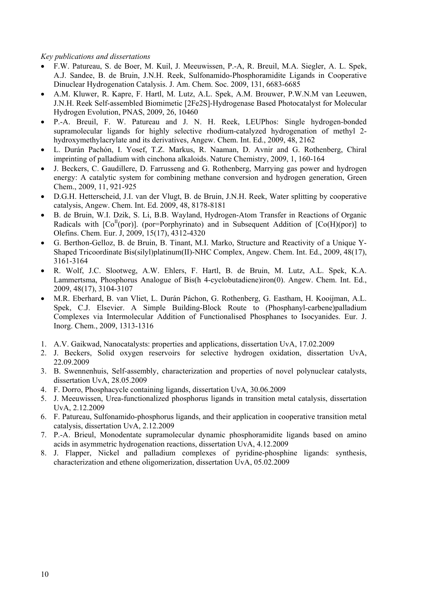#### *Key publications and dissertations*

- F.W. Patureau, S. de Boer, M. Kuil, J. Meeuwissen, P.-A, R. Breuil, M.A. Siegler, A. L. Spek, A.J. Sandee, B. de Bruin, J.N.H. Reek, Sulfonamido-Phosphoramidite Ligands in Cooperative Dinuclear Hydrogenation Catalysis. J. Am. Chem. Soc. 2009, 131, 6683-6685
- A.M. Kluwer, R. Kapre, F. Hartl, M. Lutz, A.L. Spek, A.M. Brouwer, P.W.N.M van Leeuwen, J.N.H. Reek Self-assembled Biomimetic [2Fe2S]-Hydrogenase Based Photocatalyst for Molecular Hydrogen Evolution, PNAS, 2009, 26, 10460
- P.-A. Breuil, F. W. Patureau and J. N. H. Reek, LEUPhos: Single hydrogen-bonded supramolecular ligands for highly selective rhodium-catalyzed hydrogenation of methyl 2 hydroxymethylacrylate and its derivatives, Angew. Chem. Int. Ed., 2009, 48, 2162
- L. Durán Pachón, I. Yosef, T.Z. Markus, R. Naaman, D. Avnir and G. Rothenberg, Chiral imprinting of palladium with cinchona alkaloids. Nature Chemistry, 2009, 1, 160-164
- J. Beckers, C. Gaudillere, D. Farrusseng and G. Rothenberg, Marrying gas power and hydrogen energy: A catalytic system for combining methane conversion and hydrogen generation, Green Chem., 2009, 11, 921-925
- D.G.H. Hetterscheid, J.I. van der Vlugt, B. de Bruin, J.N.H. Reek, Water splitting by cooperative catalysis, Angew. Chem. Int. Ed. 2009, 48, 8178-8181
- B. de Bruin, W.I. Dzik, S. Li, B.B. Wayland, Hydrogen-Atom Transfer in Reactions of Organic Radicals with  $[Co<sup>H</sup>(por)]$ . (por=Porphyrinato) and in Subsequent Addition of  $[Co(H)(por)]$  to Olefins. Chem. Eur. J, 2009, 15(17), 4312-4320
- G. Berthon-Gelloz, B. de Bruin, B. Tinant, M.I. Marko, Structure and Reactivity of a Unique Y-Shaped Tricoordinate Bis(silyl)platinum(II)-NHC Complex, Angew. Chem. Int. Ed., 2009, 48(17), 3161-3164
- R. Wolf, J.C. Slootweg, A.W. Ehlers, F. Hartl, B. de Bruin, M. Lutz, A.L. Spek, K.A. Lammertsma, Phosphorus Analogue of Bis(h 4-cyclobutadiene)iron(0). Angew. Chem. Int. Ed., 2009, 48(17), 3104-3107
- M.R. Eberhard, B. van Vliet, L. Durán Páchon, G. Rothenberg, G. Eastham, H. Kooijman, A.L. Spek, C.J. Elsevier. A Simple Building-Block Route to (Phosphanyl-carbene)palladium Complexes via Intermolecular Addition of Functionalised Phosphanes to Isocyanides. Eur. J. Inorg. Chem., 2009, 1313-1316
- 1. A.V. Gaikwad, Nanocatalysts: properties and applications, dissertation UvA, 17.02.2009
- 2. J. Beckers, Solid oxygen reservoirs for selective hydrogen oxidation, dissertation UvA, 22.09.2009
- 3. B. Swennenhuis, Self-assembly, characterization and properties of novel polynuclear catalysts, dissertation UvA, 28.05.2009
- 4. F. Dorro, Phosphacycle containing ligands, dissertation UvA, 30.06.2009
- 5. J. Meeuwissen, Urea-functionalized phosphorus ligands in transition metal catalysis, dissertation UvA, 2.12.2009
- 6. F. Patureau, Sulfonamido-phosphorus ligands, and their application in cooperative transition metal catalysis, dissertation UvA, 2.12.2009
- 7. P.-A. Brieul, Monodentate supramolecular dynamic phosphoramidite ligands based on amino acids in asymmetric hydrogenation reactions, dissertation UvA, 4.12.2009
- 8. J. Flapper, Nickel and palladium complexes of pyridine-phosphine ligands: synthesis, characterization and ethene oligomerization, dissertation UvA, 05.02.2009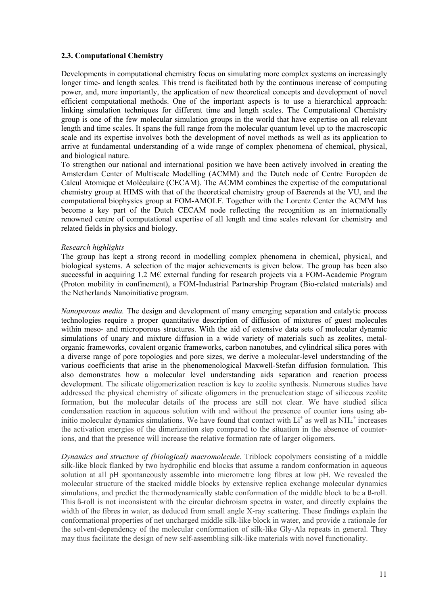#### **2.3. Computational Chemistry**

Developments in computational chemistry focus on simulating more complex systems on increasingly longer time- and length scales. This trend is facilitated both by the continuous increase of computing power, and, more importantly, the application of new theoretical concepts and development of novel efficient computational methods. One of the important aspects is to use a hierarchical approach: linking simulation techniques for different time and length scales. The Computational Chemistry group is one of the few molecular simulation groups in the world that have expertise on all relevant length and time scales. It spans the full range from the molecular quantum level up to the macroscopic scale and its expertise involves both the development of novel methods as well as its application to arrive at fundamental understanding of a wide range of complex phenomena of chemical, physical, and biological nature.

To strengthen our national and international position we have been actively involved in creating the Amsterdam Center of Multiscale Modelling (ACMM) and the Dutch node of Centre Européen de Calcul Atomique et Moléculaire (CECAM). The ACMM combines the expertise of the computational chemistry group at HIMS with that of the theoretical chemistry group of Baerends at the VU, and the computational biophysics group at FOM-AMOLF. Together with the Lorentz Center the ACMM has become a key part of the Dutch CECAM node reflecting the recognition as an internationally renowned centre of computational expertise of all length and time scales relevant for chemistry and related fields in physics and biology.

#### *Research highlights*

The group has kept a strong record in modelling complex phenomena in chemical, physical, and biological systems. A selection of the major achievements is given below. The group has been also successful in acquiring 1.2 M€ external funding for research projects via a FOM-Academic Program (Proton mobility in confinement), a FOM-Industrial Partnership Program (Bio-related materials) and the Netherlands Nanoinitiative program.

*Nanoporous media.* The design and development of many emerging separation and catalytic process technologies require a proper quantitative description of diffusion of mixtures of guest molecules within meso- and microporous structures. With the aid of extensive data sets of molecular dynamic simulations of unary and mixture diffusion in a wide variety of materials such as zeolites, metalorganic frameworks, covalent organic frameworks, carbon nanotubes, and cylindrical silica pores with a diverse range of pore topologies and pore sizes, we derive a molecular-level understanding of the various coefficients that arise in the phenomenological Maxwell-Stefan diffusion formulation. This also demonstrates how a molecular level understanding aids separation and reaction process development. The silicate oligomerization reaction is key to zeolite synthesis. Numerous studies have addressed the physical chemistry of silicate oligomers in the prenucleation stage of siliceous zeolite formation, but the molecular details of the process are still not clear. We have studied silica condensation reaction in aqueous solution with and without the presence of counter ions using abinitio molecular dynamics simulations. We have found that contact with  $Li<sup>+</sup>$  as well as NH<sub>4</sub><sup>+</sup> increases the activation energies of the dimerization step compared to the situation in the absence of counterions, and that the presence will increase the relative formation rate of larger oligomers.

*Dynamics and structure of (biological) macromolecule.* Triblock copolymers consisting of a middle silk-like block flanked by two hydrophilic end blocks that assume a random conformation in aqueous solution at all pH spontaneously assemble into micrometre long fibres at low pH. We revealed the molecular structure of the stacked middle blocks by extensive replica exchange molecular dynamics simulations, and predict the thermodynamically stable conformation of the middle block to be a ß-roll. This ß-roll is not inconsistent with the circular dichroism spectra in water, and directly explains the width of the fibres in water, as deduced from small angle X-ray scattering. These findings explain the conformational properties of net uncharged middle silk-like block in water, and provide a rationale for the solvent-dependency of the molecular conformation of silk-like Gly-Ala repeats in general. They may thus facilitate the design of new self-assembling silk-like materials with novel functionality.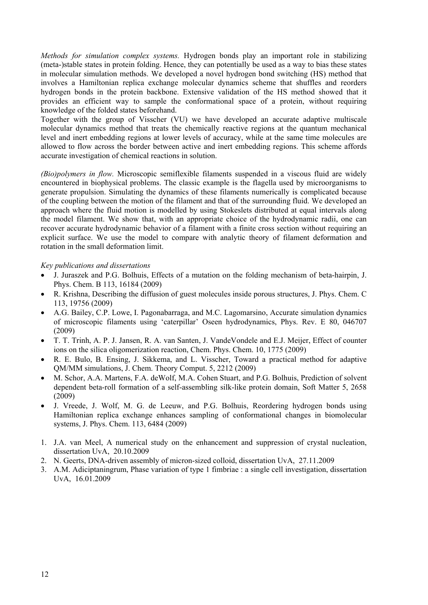*Methods for simulation complex systems.* Hydrogen bonds play an important role in stabilizing (meta-)stable states in protein folding. Hence, they can potentially be used as a way to bias these states in molecular simulation methods. We developed a novel hydrogen bond switching (HS) method that involves a Hamiltonian replica exchange molecular dynamics scheme that shuffles and reorders hydrogen bonds in the protein backbone. Extensive validation of the HS method showed that it provides an efficient way to sample the conformational space of a protein, without requiring knowledge of the folded states beforehand.

Together with the group of Visscher (VU) we have developed an accurate adaptive multiscale molecular dynamics method that treats the chemically reactive regions at the quantum mechanical level and inert embedding regions at lower levels of accuracy, while at the same time molecules are allowed to flow across the border between active and inert embedding regions. This scheme affords accurate investigation of chemical reactions in solution.

*(Bio)polymers in flow.* Microscopic semiflexible filaments suspended in a viscous fluid are widely encountered in biophysical problems. The classic example is the flagella used by microorganisms to generate propulsion. Simulating the dynamics of these filaments numerically is complicated because of the coupling between the motion of the filament and that of the surrounding fluid. We developed an approach where the fluid motion is modelled by using Stokeslets distributed at equal intervals along the model filament. We show that, with an appropriate choice of the hydrodynamic radii, one can recover accurate hydrodynamic behavior of a filament with a finite cross section without requiring an explicit surface. We use the model to compare with analytic theory of filament deformation and rotation in the small deformation limit.

## *Key publications and dissertations*

- J. Juraszek and P.G. Bolhuis, Effects of a mutation on the folding mechanism of beta-hairpin, J. Phys. Chem. B 113, 16184 (2009)
- R. Krishna, Describing the diffusion of guest molecules inside porous structures, J. Phys. Chem. C 113, 19756 (2009)
- A.G. Bailey, C.P. Lowe, I. Pagonabarraga, and M.C. Lagomarsino, Accurate simulation dynamics of microscopic filaments using 'caterpillar' Oseen hydrodynamics, Phys. Rev. E 80, 046707 (2009)
- T. T. Trinh, A. P. J. Jansen, R. A. van Santen, J. VandeVondele and E.J. Meijer, Effect of counter ions on the silica oligomerization reaction, Chem. Phys. Chem. 10, 1775 (2009)
- R. E. Bulo, B. Ensing, J. Sikkema, and L. Visscher, Toward a practical method for adaptive QM/MM simulations, J. Chem. Theory Comput. 5, 2212 (2009)
- M. Schor, A.A. Martens, F.A. deWolf, M.A. Cohen Stuart, and P.G. Bolhuis, Prediction of solvent dependent beta-roll formation of a self-assembling silk-like protein domain, Soft Matter 5, 2658 (2009)
- J. Vreede, J. Wolf, M. G. de Leeuw, and P.G. Bolhuis, Reordering hydrogen bonds using Hamiltonian replica exchange enhances sampling of conformational changes in biomolecular systems, J. Phys. Chem. 113, 6484 (2009)
- 1. J.A. van Meel, A numerical study on the enhancement and suppression of crystal nucleation, dissertation UvA, 20.10.2009
- 2. N. Geerts, DNA-driven assembly of micron-sized colloid, dissertation UvA, 27.11.2009
- 3. A.M. Adiciptaningrum, Phase variation of type 1 fimbriae : a single cell investigation, dissertation UvA, 16.01.2009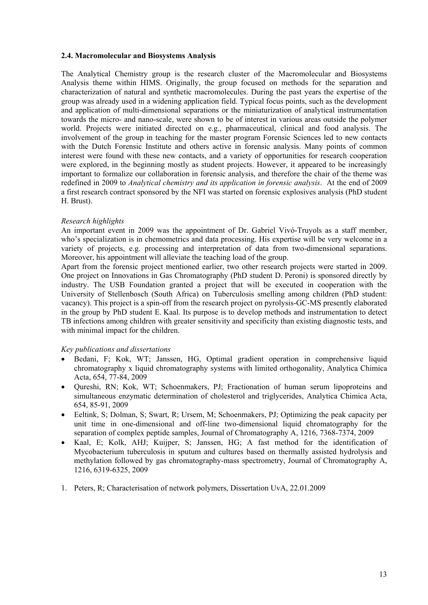#### **2.4. Macromolecular and Biosystems Analysis**

The Analytical Chemistry group is the research cluster of the Macromolecular and Biosystems Analysis theme within HIMS. Originally, the group focused on methods for the separation and characterization of natural and synthetic macromolecules. During the past years the expertise of the group was already used in a widening application field. Typical focus points, such as the development and application of multi-dimensional separations or the miniaturization of analytical instrumentation towards the micro- and nano-scale, were shown to be of interest in various areas outside the polymer world. Projects were initiated directed on e.g., pharmaceutical, clinical and food analysis. The involvement of the group in teaching for the master program Forensic Sciences led to new contacts with the Dutch Forensic Institute and others active in forensic analysis. Many points of common interest were found with these new contacts, and a variety of opportunities for research cooperation were explored, in the beginning mostly as student projects. However, it appeared to be increasingly important to formalize our collaboration in forensic analysis, and therefore the chair of the theme was redefined in 2009 to *Analytical chemistry and its application in forensic analysis*. At the end of 2009 a first research contract sponsored by the NFI was started on forensic explosives analysis (PhD student H. Brust).

## *Research highlights*

An important event in 2009 was the appointment of Dr. Gabriel Vivó-Truyols as a staff member, who's specialization is in chemometrics and data processing. His expertise will be very welcome in a variety of projects, e.g. processing and interpretation of data from two-dimensional separations. Moreover, his appointment will alleviate the teaching load of the group.

Apart from the forensic project mentioned earlier, two other research projects were started in 2009. One project on Innovations in Gas Chromatography (PhD student D. Peroni) is sponsored directly by industry. The USB Foundation granted a project that will be executed in cooperation with the University of Stellenbosch (South Africa) on Tuberculosis smelling among children (PhD student: vacancy). This project is a spin-off from the research project on pyrolysis-GC-MS presently elaborated in the group by PhD student E. Kaal. Its purpose is to develop methods and instrumentation to detect TB infections among children with greater sensitivity and specificity than existing diagnostic tests, and with minimal impact for the children.

#### *Key publications and dissertations*

- Bedani, F; Kok, WT; Janssen, HG, Optimal gradient operation in comprehensive liquid chromatography x liquid chromatography systems with limited orthogonality, Analytica Chimica Acta, 654, 77-84, 2009
- Qureshi, RN; Kok, WT; Schoenmakers, PJ; Fractionation of human serum lipoproteins and simultaneous enzymatic determination of cholesterol and triglycerides, Analytica Chimica Acta, 654, 85-91, 2009
- Eeltink, S; Dolman, S; Swart, R; Ursem, M; Schoenmakers, PJ; Optimizing the peak capacity per unit time in one-dimensional and off-line two-dimensional liquid chromatography for the separation of complex peptide samples, Journal of Chromatography A, 1216, 7368-7374, 2009
- Kaal, E; Kolk, AHJ; Kuijper, S; Janssen, HG; A fast method for the identification of Mycobacterium tuberculosis in sputum and cultures based on thermally assisted hydrolysis and methylation followed by gas chromatography-mass spectrometry, Journal of Chromatography A, 1216, 6319-6325, 2009
- 1. Peters, R; Characterisation of network polymers, Dissertation UvA, 22.01.2009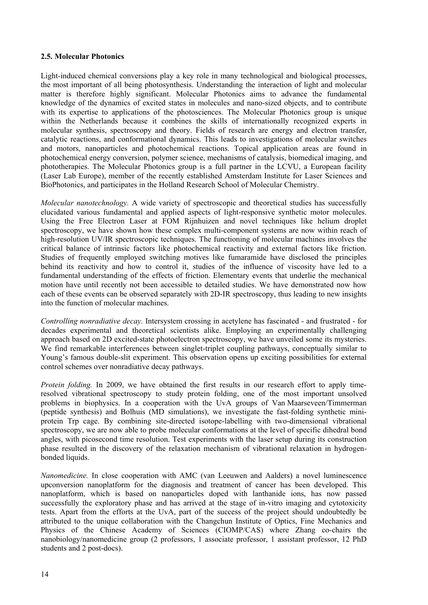#### **2.5. Molecular Photonics**

Light-induced chemical conversions play a key role in many technological and biological processes, the most important of all being photosynthesis. Understanding the interaction of light and molecular matter is therefore highly significant. Molecular Photonics aims to advance the fundamental knowledge of the dynamics of excited states in molecules and nano-sized objects, and to contribute with its expertise to applications of the photosciences. The Molecular Photonics group is unique within the Netherlands because it combines the skills of internationally recognized experts in molecular synthesis, spectroscopy and theory. Fields of research are energy and electron transfer, catalytic reactions, and conformational dynamics. This leads to investigations of molecular switches and motors, nanoparticles and photochemical reactions. Topical application areas are found in photochemical energy conversion, polymer science, mechanisms of catalysis, biomedical imaging, and phototherapies. The Molecular Photonics group is a full partner in the LCVU, a European facility (Laser Lab Europe), member of the recently established Amsterdam Institute for Laser Sciences and BioPhotonics, and participates in the Holland Research School of Molecular Chemistry.

*Molecular nanotechnology.* A wide variety of spectroscopic and theoretical studies has successfully elucidated various fundamental and applied aspects of light-responsive synthetic motor molecules. Using the Free Electron Laser at FOM Rijnhuizen and novel techniques like helium droplet spectroscopy, we have shown how these complex multi-component systems are now within reach of high-resolution UV/IR spectroscopic techniques. The functioning of molecular machines involves the critical balance of intrinsic factors like photochemical reactivity and external factors like friction. Studies of frequently employed switching motives like fumaramide have disclosed the principles behind its reactivity and how to control it, studies of the influence of viscosity have led to a fundamental understanding of the effects of friction. Elementary events that underlie the mechanical motion have until recently not been accessible to detailed studies. We have demonstrated now how each of these events can be observed separately with 2D-IR spectroscopy, thus leading to new insights into the function of molecular machines.

*Controlling nonradiative decay.* Intersystem crossing in acetylene has fascinated - and frustrated - for decades experimental and theoretical scientists alike. Employing an experimentally challenging approach based on 2D excited-state photoelectron spectroscopy, we have unveiled some its mysteries. We find remarkable interferences between singlet-triplet coupling pathways, conceptually similar to Young's famous double-slit experiment. This observation opens up exciting possibilities for external control schemes over nonradiative decay pathways.

*Protein folding.* In 2009, we have obtained the first results in our research effort to apply timeresolved vibrational spectroscopy to study protein folding, one of the most important unsolved problems in biophysics. In a cooperation with the UvA groups of Van Maarseveen/Timmerman (peptide synthesis) and Bolhuis (MD simulations), we investigate the fast-folding synthetic miniprotein Trp cage. By combining site-directed isotope-labelling with two-dimensional vibrational spectroscopy, we are now able to probe molecular conformations at the level of specific dihedral bond angles, with picosecond time resolution. Test experiments with the laser setup during its construction phase resulted in the discovery of the relaxation mechanism of vibrational relaxation in hydrogenbonded liquids.

*Nanomedicine.* In close cooperation with AMC (van Leeuwen and Aalders) a novel luminescence upconversion nanoplatform for the diagnosis and treatment of cancer has been developed. This nanoplatform, which is based on nanoparticles doped with lanthanide ions, has now passed successfully the exploratory phase and has arrived at the stage of in-vitro imaging and cytotoxicity tests. Apart from the efforts at the UvA, part of the success of the project should undoubtedly be attributed to the unique collaboration with the Changchun Institute of Optics, Fine Mechanics and Physics of the Chinese Academy of Sciences (CIOMP/CAS) where Zhang co-chairs the nanobiology/nanomedicine group (2 professors, 1 associate professor, 1 assistant professor, 12 PhD students and 2 post-docs).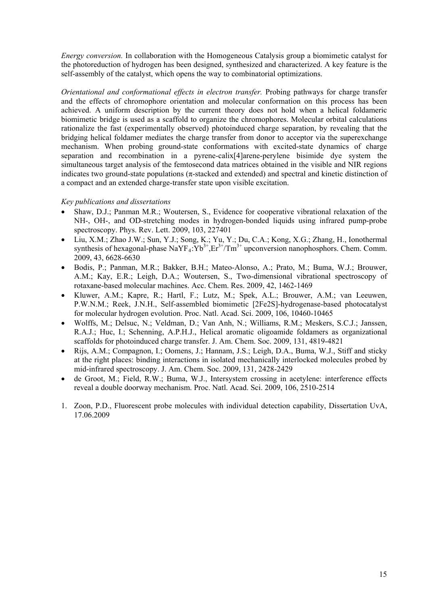*Energy conversion.* In collaboration with the Homogeneous Catalysis group a biomimetic catalyst for the photoreduction of hydrogen has been designed, synthesized and characterized. A key feature is the self-assembly of the catalyst, which opens the way to combinatorial optimizations.

*Orientational and conformational effects in electron transfer.* Probing pathways for charge transfer and the effects of chromophore orientation and molecular conformation on this process has been achieved. A uniform description by the current theory does not hold when a helical foldameric biomimetic bridge is used as a scaffold to organize the chromophores. Molecular orbital calculations rationalize the fast (experimentally observed) photoinduced charge separation, by revealing that the bridging helical foldamer mediates the charge transfer from donor to acceptor via the superexchange mechanism. When probing ground-state conformations with excited-state dynamics of charge separation and recombination in a pyrene-calix[4]arene-perylene bisimide dye system the simultaneous target analysis of the femtosecond data matrices obtained in the visible and NIR regions indicates two ground-state populations ( $\pi$ -stacked and extended) and spectral and kinetic distinction of a compact and an extended charge-transfer state upon visible excitation.

## *Key publications and dissertations*

- Shaw, D.J.; Panman M.R.; Woutersen, S., Evidence for cooperative vibrational relaxation of the NH-, OH-, and OD-stretching modes in hydrogen-bonded liquids using infrared pump-probe spectroscopy. Phys. Rev. Lett. 2009, 103, 227401
- Liu, X.M.; Zhao J.W.; Sun, Y.J.; Song, K.; Yu, Y.; Du, C.A.; Kong, X.G.; Zhang, H., Ionothermal synthesis of hexagonal-phase NaYF<sub>4</sub>:Yb<sup>3+</sup>,Er<sup>3+</sup>/Tm<sup>3+</sup> upconversion nanophosphors. Chem. Comm. 2009, 43, 6628-6630
- Bodis, P.; Panman, M.R.; Bakker, B.H.; Mateo-Alonso, A.; Prato, M.; Buma, W.J.; Brouwer, A.M.; Kay, E.R.; Leigh, D.A.; Woutersen, S., Two-dimensional vibrational spectroscopy of rotaxane-based molecular machines. Acc. Chem. Res. 2009, 42, 1462-1469
- Kluwer, A.M.; Kapre, R.; Hartl, F.; Lutz, M.; Spek, A.L.; Brouwer, A.M.; van Leeuwen, P.W.N.M.; Reek, J.N.H., Self-assembled biomimetic [2Fe2S]-hydrogenase-based photocatalyst for molecular hydrogen evolution. Proc. Natl. Acad. Sci. 2009, 106, 10460-10465
- Wolffs, M.; Delsuc, N.; Veldman, D.; Van Anh, N.; Williams, R.M.; Meskers, S.C.J.; Janssen, R.A.J.; Huc, I.; Schenning, A.P.H.J., Helical aromatic oligoamide foldamers as organizational scaffolds for photoinduced charge transfer. J. Am. Chem. Soc. 2009, 131, 4819-4821
- Rijs, A.M.; Compagnon, I.; Oomens, J.; Hannam, J.S.; Leigh, D.A., Buma, W.J., Stiff and sticky at the right places: binding interactions in isolated mechanically interlocked molecules probed by mid-infrared spectroscopy. J. Am. Chem. Soc. 2009, 131, 2428-2429
- de Groot, M.; Field, R.W.; Buma, W.J., Intersystem crossing in acetylene: interference effects reveal a double doorway mechanism. Proc. Natl. Acad. Sci. 2009, 106, 2510-2514
- 1. Zoon, P.D., Fluorescent probe molecules with individual detection capability, Dissertation UvA, 17.06.2009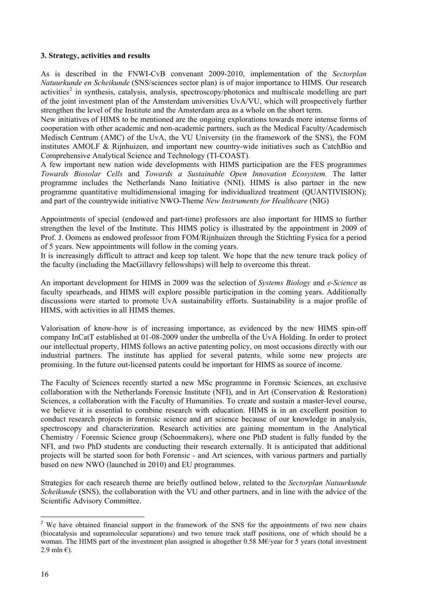#### **3. Strategy, activities and results**

As is described in the FNWI-CvB convenant 2009-2010, implementation of the *Sectorplan Natuurkunde en Scheikunde* (SNS/sciences sector plan) is of major importance to HIMS. Our research activities<sup>[2](#page-15-0)</sup> in synthesis, catalysis, analysis, spectroscopy/photonics and multiscale modelling are part of the joint investment plan of the Amsterdam universities UvA/VU, which will prospectively further strengthen the level of the Institute and the Amsterdam area as a whole on the short term.

New initiatives of HIMS to be mentioned are the ongoing explorations towards more intense forms of cooperation with other academic and non-academic partners, such as the Medical Faculty/Academisch Medisch Centrum (AMC) of the UvA, the VU University (in the framework of the SNS), the FOM institutes AMOLF & Rijnhuizen, and important new country-wide initiatives such as CatchBio and Comprehensive Analytical Science and Technology (TI-COAST).

A few important new nation wide developments with HIMS participation are the FES programmes *Towards Biosolar Cells* and *Towards a Sustainable Open Innovation Ecosystem.* The latter programme includes the Netherlands Nano Initiative (NNI). HIMS is also partner in the new programme quantitative multidimensional imaging for individualized treatment (QUANTIVISION); and part of the countrywide initiative NWO-Theme *New Instruments for Healthcare* (NIG)

Appointments of special (endowed and part-time) professors are also important for HIMS to further strengthen the level of the Institute. This HIMS policy is illustrated by the appointment in 2009 of Prof. J. Oomens as endowed professor from FOM/Rijnhuizen through the Stichting Fysica for a period of 5 years. New appointments will follow in the coming years.

It is increasingly difficult to attract and keep top talent. We hope that the new tenure track policy of the faculty (including the MacGillavry fellowships) will help to overcome this threat.

An important development for HIMS in 2009 was the selection of *Systems Biology* and *e-Science* as faculty spearheads, and HIMS will explore possible participation in the coming years. Additionally discussions were started to promote UvA sustainability efforts. Sustainability is a major profile of HIMS, with activities in all HIMS themes.

Valorisation of know-how is of increasing importance, as evidenced by the new HIMS spin-off company InCatT established at 01-08-2009 under the umbrella of the UvA Holding. In order to protect our intellectual property, HIMS follows an active patenting policy, on most occasions directly with our industrial partners. The institute has applied for several patents, while some new projects are promising. In the future out-licensed patents could be important for HIMS as source of income.

The Faculty of Sciences recently started a new MSc programme in Forensic Sciences, an exclusive collaboration with the Netherlands Forensic Institute (NFI), and in Art (Conservation & Restoration) Sciences, a collaboration with the Faculty of Humanities. To create and sustain a master-level course, we believe it is essential to combine research with education. HIMS is in an excellent position to conduct research projects in forensic science and art science because of our knowledge in analysis, spectroscopy and characterization. Research activities are gaining momentum in the Analytical Chemistry / Forensic Science group (Schoenmakers), where one PhD student is fully funded by the NFI, and two PhD students are conducting their research externally. It is anticipated that additional projects will be started soon for both Forensic - and Art sciences, with various partners and partially based on new NWO (launched in 2010) and EU programmes.

Strategies for each research theme are briefly outlined below, related to the *Sectorplan Natuurkunde Scheikunde* (SNS), the collaboration with the VU and other partners, and in line with the advice of the Scientific Advisory Committee.

<span id="page-15-0"></span><sup>&</sup>lt;sup>2</sup> We have obtained financial support in the framework of the SNS for the appointments of two new chairs (biocatalysis and supramolecular separations) and two tenure track staff positions, one of which should be a woman. The HIMS part of the investment plan assigned is altogether 0.58 M€/year for 5 years (total investment 2.9 mln $\epsilon$ ).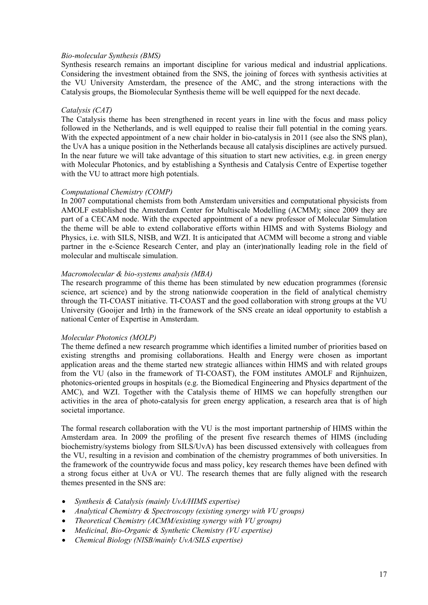#### *Bio-molecular Synthesis (BMS)*

Synthesis research remains an important discipline for various medical and industrial applications. Considering the investment obtained from the SNS, the joining of forces with synthesis activities at the VU University Amsterdam, the presence of the AMC, and the strong interactions with the Catalysis groups, the Biomolecular Synthesis theme will be well equipped for the next decade.

#### *Catalysis (CAT)*

The Catalysis theme has been strengthened in recent years in line with the focus and mass policy followed in the Netherlands, and is well equipped to realise their full potential in the coming years. With the expected appointment of a new chair holder in bio-catalysis in 2011 (see also the SNS plan), the UvA has a unique position in the Netherlands because all catalysis disciplines are actively pursued. In the near future we will take advantage of this situation to start new activities, e.g. in green energy with Molecular Photonics, and by establishing a Synthesis and Catalysis Centre of Expertise together with the VU to attract more high potentials.

#### *Computational Chemistry (COMP)*

In 2007 computational chemists from both Amsterdam universities and computational physicists from AMOLF established the Amsterdam Center for Multiscale Modelling (ACMM); since 2009 they are part of a CECAM node. With the expected appointment of a new professor of Molecular Simulation the theme will be able to extend collaborative efforts within HIMS and with Systems Biology and Physics, i.e. with SILS, NISB, and WZI. It is anticipated that ACMM will become a strong and viable partner in the e-Science Research Center, and play an (inter)nationally leading role in the field of molecular and multiscale simulation.

#### *Macromolecular & bio-systems analysis (MBA)*

The research programme of this theme has been stimulated by new education programmes (forensic science, art science) and by the strong nationwide cooperation in the field of analytical chemistry through the TI-COAST initiative. TI-COAST and the good collaboration with strong groups at the VU University (Gooijer and Irth) in the framework of the SNS create an ideal opportunity to establish a national Center of Expertise in Amsterdam.

#### *Molecular Photonics (MOLP)*

The theme defined a new research programme which identifies a limited number of priorities based on existing strengths and promising collaborations. Health and Energy were chosen as important application areas and the theme started new strategic alliances within HIMS and with related groups from the VU (also in the framework of TI-COAST), the FOM institutes AMOLF and Rijnhuizen, photonics-oriented groups in hospitals (e.g. the Biomedical Engineering and Physics department of the AMC), and WZI. Together with the Catalysis theme of HIMS we can hopefully strengthen our activities in the area of photo-catalysis for green energy application, a research area that is of high societal importance.

The formal research collaboration with the VU is the most important partnership of HIMS within the Amsterdam area. In 2009 the profiling of the present five research themes of HIMS (including biochemistry/systems biology from SILS/UvA) has been discussed extensively with colleagues from the VU, resulting in a revision and combination of the chemistry programmes of both universities. In the framework of the countrywide focus and mass policy, key research themes have been defined with a strong focus either at UvA or VU. The research themes that are fully aligned with the research themes presented in the SNS are:

- *Synthesis & Catalysis (mainly UvA/HIMS expertise)*
- *Analytical Chemistry & Spectroscopy (existing synergy with VU groups)*
- *Theoretical Chemistry (ACMM/existing synergy with VU groups)*
- *Medicinal, Bio-Organic & Synthetic Chemistry (VU expertise)*
- *Chemical Biology (NISB/mainly UvA/SILS expertise)*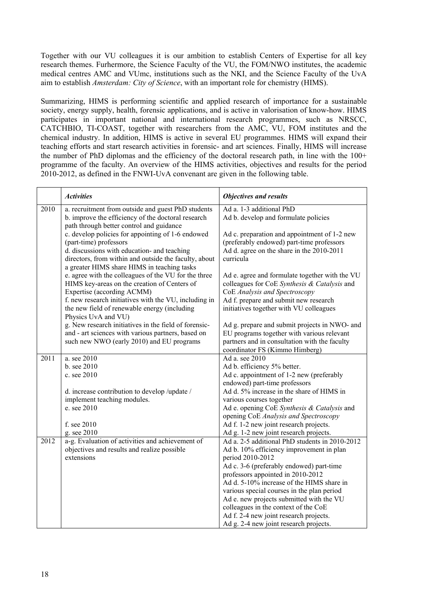Together with our VU colleagues it is our ambition to establish Centers of Expertise for all key research themes. Furhermore, the Science Faculty of the VU, the FOM/NWO institutes, the academic medical centres AMC and VUmc, institutions such as the NKI, and the Science Faculty of the UvA aim to establish *Amsterdam: City of Science*, with an important role for chemistry (HIMS).

Summarizing, HIMS is performing scientific and applied research of importance for a sustainable society, energy supply, health, forensic applications, and is active in valorisation of know-how. HIMS participates in important national and international research programmes, such as NRSCC, CATCHBIO, TI-COAST, together with researchers from the AMC, VU, FOM institutes and the chemical industry. In addition, HIMS is active in several EU programmes. HIMS will expand their teaching efforts and start research activities in forensic- and art sciences. Finally, HIMS will increase the number of PhD diplomas and the efficiency of the doctoral research path, in line with the 100+ programme of the faculty. An overview of the HIMS activities, objectives and results for the period 2010-2012, as defined in the FNWI-UvA convenant are given in the following table.

|      | <b>Activities</b>                                                                                                                                                                                                                  | <b>Objectives and results</b>                                                                                                                                                  |
|------|------------------------------------------------------------------------------------------------------------------------------------------------------------------------------------------------------------------------------------|--------------------------------------------------------------------------------------------------------------------------------------------------------------------------------|
| 2010 | a. recruitment from outside and guest PhD students<br>b. improve the efficiency of the doctoral research<br>path through better control and guidance                                                                               | Ad a. 1-3 additional PhD<br>Ad b. develop and formulate policies                                                                                                               |
|      | c. develop policies for appointing of 1-6 endowed<br>(part-time) professors<br>d. discussions with education- and teaching<br>directors, from within and outside the faculty, about<br>a greater HIMS share HIMS in teaching tasks | Ad c. preparation and appointment of 1-2 new<br>(preferably endowed) part-time professors<br>Ad d. agree on the share in the 2010-2011<br>curricula                            |
|      | e. agree with the colleagues of the VU for the three<br>HIMS key-areas on the creation of Centers of<br>Expertise (according ACMM)<br>f. new research initiatives with the VU, including in                                        | Ad e. agree and formulate together with the VU<br>colleagues for CoE Synthesis & Catalysis and<br>CoE Analysis and Spectroscopy<br>Ad f. prepare and submit new research       |
|      | the new field of renewable energy (including<br>Physics UvA and VU)                                                                                                                                                                | initiatives together with VU colleagues                                                                                                                                        |
|      | g. New research initiatives in the field of forensic-<br>and - art sciences with various partners, based on<br>such new NWO (early 2010) and EU programs                                                                           | Ad g. prepare and submit projects in NWO- and<br>EU programs together with various relevant<br>partners and in consultation with the faculty<br>coordinator FS (Kimmo Himberg) |
| 2011 | a. see 2010                                                                                                                                                                                                                        | Ad a. see 2010                                                                                                                                                                 |
|      | b. see 2010                                                                                                                                                                                                                        | Ad b. efficiency 5% better.                                                                                                                                                    |
|      | c. see 2010                                                                                                                                                                                                                        | Ad c. appointment of 1-2 new (preferably<br>endowed) part-time professors                                                                                                      |
|      | d. increase contribution to develop /update /                                                                                                                                                                                      | Ad d. 5% increase in the share of HIMS in                                                                                                                                      |
|      | implement teaching modules.                                                                                                                                                                                                        | various courses together                                                                                                                                                       |
|      | e. see 2010                                                                                                                                                                                                                        | Ad e. opening CoE Synthesis & Catalysis and                                                                                                                                    |
|      |                                                                                                                                                                                                                                    | opening CoE Analysis and Spectroscopy                                                                                                                                          |
|      | f. see 2010                                                                                                                                                                                                                        | Ad f. 1-2 new joint research projects.                                                                                                                                         |
|      | g. see 2010                                                                                                                                                                                                                        | Ad g. 1-2 new joint research projects.                                                                                                                                         |
| 2012 | a-g. Evaluation of activities and achievement of                                                                                                                                                                                   | Ad a. 2-5 additional PhD students in 2010-2012                                                                                                                                 |
|      | objectives and results and realize possible                                                                                                                                                                                        | Ad b. 10% efficiency improvement in plan                                                                                                                                       |
|      | extensions                                                                                                                                                                                                                         | period 2010-2012<br>Ad c. 3-6 (preferably endowed) part-time                                                                                                                   |
|      |                                                                                                                                                                                                                                    | professors appointed in 2010-2012                                                                                                                                              |
|      |                                                                                                                                                                                                                                    | Ad d. 5-10% increase of the HIMS share in                                                                                                                                      |
|      |                                                                                                                                                                                                                                    | various special courses in the plan period                                                                                                                                     |
|      |                                                                                                                                                                                                                                    | Ad e. new projects submitted with the VU                                                                                                                                       |
|      |                                                                                                                                                                                                                                    | colleagues in the context of the CoE                                                                                                                                           |
|      |                                                                                                                                                                                                                                    | Ad f. 2-4 new joint research projects.                                                                                                                                         |
|      |                                                                                                                                                                                                                                    | Ad g. 2-4 new joint research projects.                                                                                                                                         |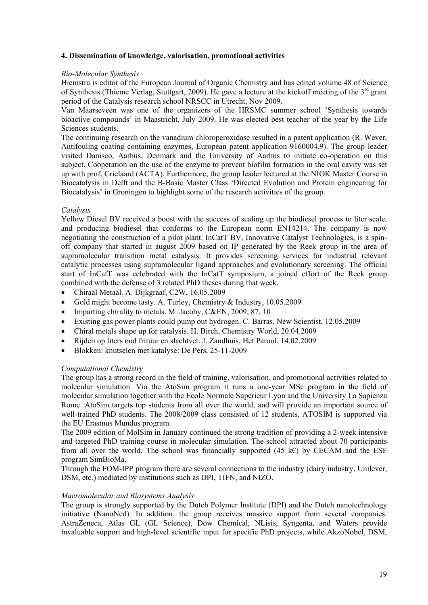## **4. Dissemination of knowledge, valorisation, promotional activities**

#### *Bio-Molecular Synthesis*

Hiemstra is editor of the European Journal of Organic Chemistry and has edited volume 48 of Science of Synthesis (Thieme Verlag, Stuttgart, 2009). He gave a lecture at the kickoff meeting of the  $3<sup>rd</sup>$  grant period of the Catalysis research school NRSCC in Utrecht, Nov 2009.

Van Maarseveen was one of the organizers of the HRSMC summer school 'Synthesis towards bioactive compounds' in Maastricht, July 2009. He was elected best teacher of the year by the Life Sciences students.

The continuing research on the vanadium chloroperoxidase resulted in a patent application (R. Wever, Antifouling coating containing enzymes, European patent application 9160004.9). The group leader visited Danisco, Aarhus, Denmark and the University of Aarhus to initiate co-operation on this subject. Cooperation on the use of the enzyme to prevent biofilm formation in the oral cavity was set up with prof. Crielaard (ACTA). Furthermore, the group leader lectured at the NIOK Master Course in Biocatalysis in Delft and the B-Basic Master Class 'Directed Evolution and Protein engineering for Biocatalysis' in Groningen to highlight some of the research activities of the group.

#### *Catalysis*

Yellow Diesel BV received a boost with the success of scaling up the biodiesel process to liter scale, and producing biodiesel that conforms to the European norm EN14214. The company is now negotiating the construction of a pilot plant. InCatT BV, Innovative Catalyst Technologies, is a spinoff company that started in august 2009 based on IP generated by the Reek group in the area of supramolecular transition metal catalysis. It provides screening services for industrial relevant catalytic processes using supramolecular ligand approaches and evolutionary screening. The official start of InCatT was celebrated with the InCatT symposium, a joined effort of the Reek group combined with the defense of 3 related PhD theses during that week.

- Chiraal Metaal. A. Dijkgraaf, C2W, 16.05.2009
- Gold might become tasty. A. Turley, Chemistry & Industry, 10.05.2009
- Imparting chirality to metals. M. Jacoby, C&EN,  $2009, 87, 10$
- Existing gas power plants could pump out hydrogen. C. Barras, New Scientist, 12.05.2009
- Chiral metals shape up for catalysis. H. Birch, Chemistry World, 20.04.2009
- Rijden op liters oud frituur en slachtvet. J. Zandhuis, Het Parool, 14.02.2009
- Blokken: knutselen met katalyse: De Pers, 25-11-2009

#### *Computational Chemistry*

The group has a strong record in the field of training, valorisation, and promotional activities related to molecular simulation. Via the AtoSim program it runs a one-year MSc program in the field of molecular simulation together with the Ecole Normale Superieur Lyon and the University La Sapienza Rome. AtoSim targets top students from all over the world, and will provide an important source of well-trained PhD students. The 2008/2009 class consisted of 12 students. ATOSIM is supported via the EU Erasmus Mundus program.

The 2009 edition of MolSim in January continued the strong tradition of providing a 2-week intensive and targeted PhD training course in molecular simulation. The school attracted about 70 participants from all over the world. The school was financially supported (45 k $\epsilon$ ) by CECAM and the ESF program SimBioMa.

Through the FOM-IPP program there are several connections to the industry (dairy industry, Unilever, DSM, etc.) mediated by institutions such as DPI, TIFN, and NIZO.

#### *Macromolecular and Biosystems Analysis*

The group is strongly supported by the Dutch Polymer Institute (DPI) and the Dutch nanotechnology initiative (NanoNed). In addition, the group receives massive support from several companies. AstraZeneca, Atlas GL (GL Science), Dow Chemical, NLisis, Syngenta, and Waters provide invaluable support and high-level scientific input for specific PhD projects, while AkzoNobel, DSM,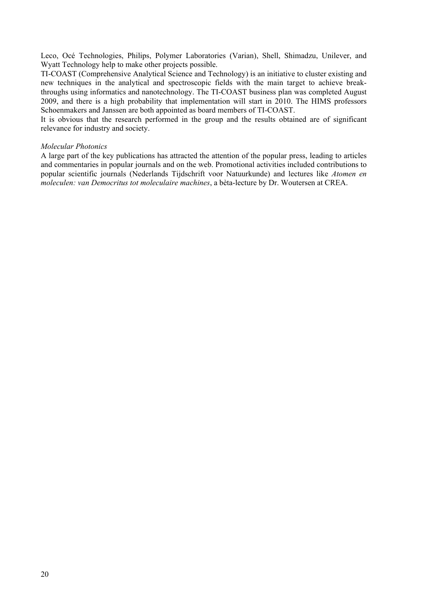Leco, Océ Technologies, Philips, Polymer Laboratories (Varian), Shell, Shimadzu, Unilever, and Wyatt Technology help to make other projects possible.

TI-COAST (Comprehensive Analytical Science and Technology) is an initiative to cluster existing and new techniques in the analytical and spectroscopic fields with the main target to achieve breakthroughs using informatics and nanotechnology. The TI-COAST business plan was completed August 2009, and there is a high probability that implementation will start in 2010. The HIMS professors Schoenmakers and Janssen are both appointed as board members of TI-COAST.

It is obvious that the research performed in the group and the results obtained are of significant relevance for industry and society.

#### *Molecular Photonics*

A large part of the key publications has attracted the attention of the popular press, leading to articles and commentaries in popular journals and on the web. Promotional activities included contributions to popular scientific journals (Nederlands Tijdschrift voor Natuurkunde) and lectures like *Atomen en moleculen: van Democritus tot moleculaire machines*, a bèta-lecture by Dr. Woutersen at CREA.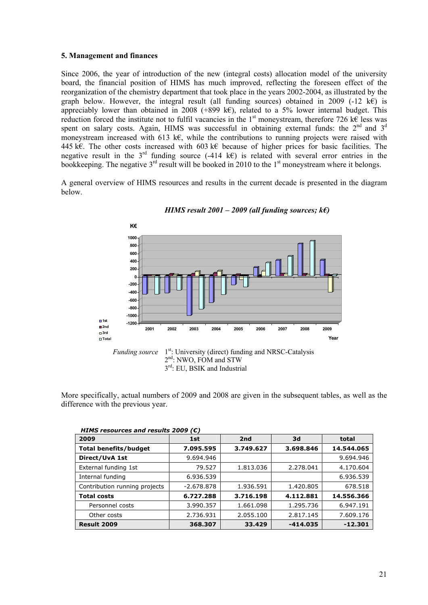#### **5. Management and finances**

Since 2006, the year of introduction of the new (integral costs) allocation model of the university board, the financial position of HIMS has much improved, reflecting the foreseen effect of the reorganization of the chemistry department that took place in the years 2002-2004, as illustrated by the graph below. However, the integral result (all funding sources) obtained in 2009 (-12 k€) is appreciably lower than obtained in 2008 (+899 k€), related to a 5% lower internal budget. This reduction forced the institute not to fulfil vacancies in the 1<sup>st</sup> moneystream, therefore 726 k $\epsilon$  less was spent on salary costs. Again, HIMS was successful in obtaining external funds: the  $2<sup>nd</sup>$  and  $3<sup>d</sup>$ moneystream increased with 613 k€, while the contributions to running projects were raised with 445 k€. The other costs increased with 603 k€ because of higher prices for basic facilities. The negative result in the  $3<sup>rd</sup>$  funding source (-414 k€) is related with several error entries in the bookkeeping. The negative  $3^{rd}$  result will be booked in 2010 to the 1<sup>st</sup> moneystream where it belongs.

A general overview of HIMS resources and results in the current decade is presented in the diagram below.



*HIMS result 2001 – 2009 (all funding sources; k€)*

More specifically, actual numbers of 2009 and 2008 are given in the subsequent tables, as well as the difference with the previous year.

| 2009                          | 1st          | 2 <sub>nd</sub> | 3d         | total      |
|-------------------------------|--------------|-----------------|------------|------------|
| <b>Total benefits/budget</b>  | 7.095.595    | 3.749.627       | 3.698.846  | 14.544.065 |
| Direct/UvA 1st                | 9.694.946    |                 |            | 9.694.946  |
| External funding 1st          | 79.527       | 1.813.036       | 2.278.041  | 4.170.604  |
| Internal funding              | 6.936.539    |                 |            | 6.936.539  |
| Contribution running projects | $-2.678.878$ | 1.936.591       | 1.420.805  | 678.518    |
| <b>Total costs</b>            | 6.727.288    | 3.716.198       | 4.112.881  | 14.556.366 |
| Personnel costs               | 3.990.357    | 1.661.098       | 1.295.736  | 6.947.191  |
| Other costs                   | 2.736.931    | 2.055.100       | 2.817.145  | 7.609.176  |
| Result 2009                   | 368.307      | 33.429          | $-414.035$ | $-12.301$  |

| HIMS resources and results 2009 ( $\epsilon$ ) |  |
|------------------------------------------------|--|
|                                                |  |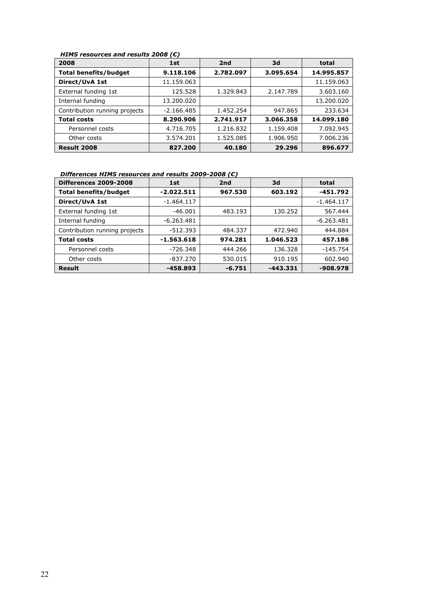# *HIMS resources and results 2008 (€)*

| . ._. .wwww. .ww www.co _wvv<br>2008 | 2nd<br>1st   |           | 3d        | total      |  |
|--------------------------------------|--------------|-----------|-----------|------------|--|
| <b>Total benefits/budget</b>         | 9.118.106    | 2.782.097 | 3.095.654 | 14.995.857 |  |
| Direct/UvA 1st                       | 11.159.063   |           |           | 11.159.063 |  |
| External funding 1st                 | 125.528      | 1.329.843 | 2.147.789 | 3.603.160  |  |
| Internal funding                     | 13.200.020   |           |           | 13.200.020 |  |
| Contribution running projects        | $-2.166.485$ | 1.452.254 | 947.865   | 233.634    |  |
| <b>Total costs</b>                   | 8.290.906    | 2.741.917 | 3.066.358 | 14.099.180 |  |
| Personnel costs                      | 4.716.705    | 1.216.832 | 1.159.408 | 7.092.945  |  |
| Other costs                          | 3.574.201    | 1.525.085 | 1.906.950 | 7.006.236  |  |
| Result 2008                          | 827.200      | 40.180    | 29.296    | 896.677    |  |

#### *Differences HIMS resources and results 2009-2008 (€)*

| <b>Differences 2009-2008</b>  | 2 <sub>nd</sub><br>1st |          | 3d        | total        |  |
|-------------------------------|------------------------|----------|-----------|--------------|--|
| <b>Total benefits/budget</b>  | $-2.022.511$           | 967.530  | 603.192   | $-451.792$   |  |
| Direct/UvA 1st                | $-1.464.117$           |          |           | $-1.464.117$ |  |
| External funding 1st          | $-46.001$              | 483.193  | 130.252   | 567.444      |  |
| Internal funding              | $-6.263.481$           |          |           | $-6.263.481$ |  |
| Contribution running projects | -512.393               | 484.337  | 472.940   | 444.884      |  |
| <b>Total costs</b>            | $-1.563.618$           | 974.281  | 1.046.523 | 457.186      |  |
| Personnel costs               | $-726.348$             | 444.266  | 136.328   | $-145.754$   |  |
| Other costs                   | -837.270               | 530.015  | 910.195   | 602.940      |  |
| Result                        | -458.893               | $-6.751$ | -443.331  | $-908.978$   |  |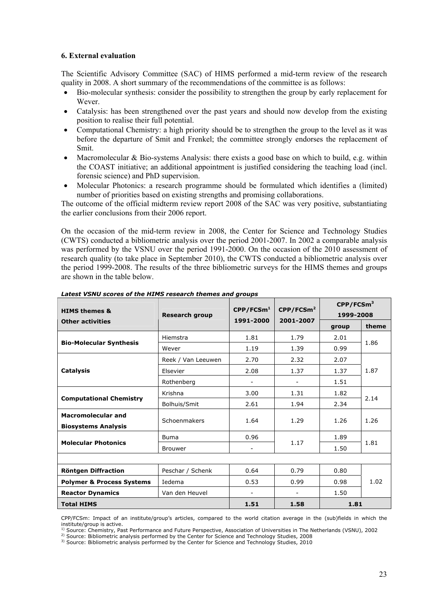#### **6. External evaluation**

The Scientific Advisory Committee (SAC) of HIMS performed a mid-term review of the research quality in 2008. A short summary of the recommendations of the committee is as follows:

- Bio-molecular synthesis: consider the possibility to strengthen the group by early replacement for Wever.
- Catalysis: has been strengthened over the past years and should now develop from the existing position to realise their full potential.
- Computational Chemistry: a high priority should be to strengthen the group to the level as it was before the departure of Smit and Frenkel; the committee strongly endorses the replacement of Smit.
- Macromolecular & Bio-systems Analysis: there exists a good base on which to build, e.g. within the COAST initiative; an additional appointment is justified considering the teaching load (incl. forensic science) and PhD supervision.
- Molecular Photonics: a research programme should be formulated which identifies a (limited) number of priorities based on existing strengths and promising collaborations.

The outcome of the official midterm review report 2008 of the SAC was very positive, substantiating the earlier conclusions from their 2006 report.

On the occasion of the mid-term review in 2008, the Center for Science and Technology Studies (CWTS) conducted a bibliometric analysis over the period 2001-2007. In 2002 a comparable analysis was performed by the VSNU over the period 1991-2000. On the occasion of the 2010 assessment of research quality (to take place in September 2010), the CWTS conducted a bibliometric analysis over the period 1999-2008. The results of the three bibliometric surveys for the HIMS themes and groups are shown in the table below.

|                                                |                       |                                |                                | $\mathsf{CPP}/\mathsf{FCSm}^3$ |       |  |
|------------------------------------------------|-----------------------|--------------------------------|--------------------------------|--------------------------------|-------|--|
| <b>HIMS themes &amp;</b>                       | <b>Research group</b> | $\mathsf{CPP}/\mathsf{FCSm}^1$ | $\mathsf{CPP}/\mathsf{FCSm}^2$ | 1999-2008                      |       |  |
| <b>Other activities</b>                        |                       | 1991-2000                      | 2001-2007                      | group                          | theme |  |
|                                                | Hiemstra              | 1.81                           | 1.79                           | 2.01                           | 1.86  |  |
| <b>Bio-Molecular Synthesis</b>                 | Wever                 | 1.19                           | 1.39                           | 0.99                           |       |  |
|                                                | Reek / Van Leeuwen    | 2.70                           | 2.32                           | 2.07                           |       |  |
| <b>Catalysis</b>                               | Elsevier              | 2.08                           | 1.37                           | 1.37                           | 1.87  |  |
|                                                | Rothenberg            | $\overline{a}$                 |                                | 1.51                           |       |  |
|                                                | Krishna               | 3.00                           | 1.31                           | 1.82                           | 2.14  |  |
| <b>Computational Chemistry</b>                 | Bolhuis/Smit          | 2.61                           | 1.94                           | 2.34                           |       |  |
| <b>Macromolecular and</b>                      | Schoenmakers          |                                | 1.29                           | 1.26                           | 1.26  |  |
| <b>Biosystems Analysis</b>                     |                       | 1.64                           |                                |                                |       |  |
| <b>Molecular Photonics</b>                     | <b>Buma</b>           | 0.96                           | 1.17                           | 1.89                           | 1.81  |  |
|                                                | <b>Brouwer</b>        |                                |                                | 1.50                           |       |  |
|                                                |                       |                                |                                |                                |       |  |
| Röntgen Diffraction                            | Peschar / Schenk      | 0.64                           | 0.79                           | 0.80                           |       |  |
| <b>Polymer &amp; Process Systems</b><br>Iedema |                       | 0.53                           | 0.99                           | 0.98                           | 1.02  |  |
| <b>Reactor Dynamics</b>                        | Van den Heuvel        |                                |                                | 1.50                           |       |  |
| <b>Total HIMS</b>                              |                       | 1.51                           | 1.58                           | 1.81                           |       |  |

*Latest VSNU scores of the HIMS research themes and groups* 

CPP/FCSm: Impact of an institute/group's articles, compared to the world citation average in the (sub)fields in which the institute/group is active.<br><sup>1)</sup> Source: Chemistry, Past Performance and Future Perspective, Association of Universities in The Netherlands (VSNU), 2002

<sup>2)</sup> Source: Bibliometric analysis performed by the Center for Science and Technology Studies, 2008<br><sup>3)</sup> Source: Bibliometric analysis performed by the Center for Science and Technology Studies, 2010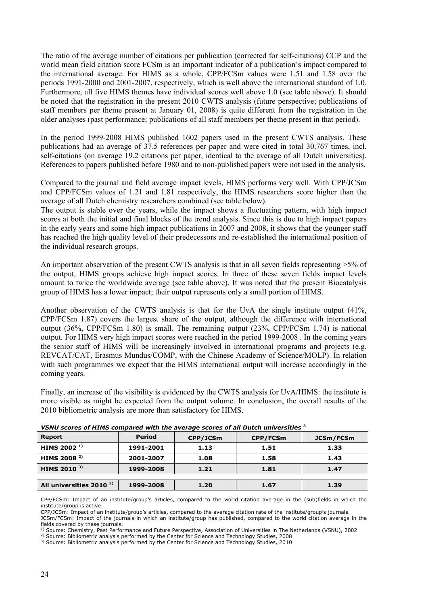The ratio of the average number of citations per publication (corrected for self-citations) CCP and the world mean field citation score FCSm is an important indicator of a publication's impact compared to the international average. For HIMS as a whole, CPP/FCSm values were 1.51 and 1.58 over the periods 1991-2000 and 2001-2007, respectively, which is well above the international standard of 1.0. Furthermore, all five HIMS themes have individual scores well above 1.0 (see table above). It should be noted that the registration in the present 2010 CWTS analysis (future perspective; publications of staff members per theme present at January 01, 2008) is quite different from the registration in the older analyses (past performance; publications of all staff members per theme present in that period).

In the period 1999-2008 HIMS published 1602 papers used in the present CWTS analysis. These publications had an average of 37.5 references per paper and were cited in total 30,767 times, incl. self-citations (on average 19.2 citations per paper, identical to the average of all Dutch universities). References to papers published before 1980 and to non-published papers were not used in the analysis.

Compared to the journal and field average impact levels, HIMS performs very well. With CPP/JCSm and CPP/FCSm values of 1.21 and 1.81 respectively, the HIMS researchers score higher than the average of all Dutch chemistry researchers combined (see table below).

The output is stable over the years, while the impact shows a fluctuating pattern, with high impact scores at both the initial and final blocks of the trend analysis. Since this is due to high impact papers in the early years and some high impact publications in 2007 and 2008, it shows that the younger staff has reached the high quality level of their predecessors and re-established the international position of the individual research groups.

An important observation of the present CWTS analysis is that in all seven fields representing >5% of the output, HIMS groups achieve high impact scores. In three of these seven fields impact levels amount to twice the worldwide average (see table above). It was noted that the present Biocatalysis group of HIMS has a lower impact; their output represents only a small portion of HIMS.

Another observation of the CWTS analysis is that for the UvA the single institute output (41%, CPP/FCSm 1.87) covers the largest share of the output, although the difference with international output (36%, CPP/FCSm 1.80) is small. The remaining output (23%, CPP/FCSm 1.74) is national output. For HIMS very high impact scores were reached in the period 1999-2008 . In the coming years the senior staff of HIMS will be increasingly involved in international programs and projects (e.g. REVCAT/CAT, Erasmus Mundus/COMP, with the Chinese Academy of Science/MOLP). In relation with such programmes we expect that the HIMS international output will increase accordingly in the coming years.

Finally, an increase of the visibility is evidenced by the CWTS analysis for UvA/HIMS: the institute is more visible as might be expected from the output volume. In conclusion, the overall results of the 2010 bibliometric analysis are more than satisfactory for HIMS.

| <b>Report</b>                       | <b>Period</b> | CPP/JCSm | CPP/FCSm | JCSm/FCSm |  |  |  |  |  |
|-------------------------------------|---------------|----------|----------|-----------|--|--|--|--|--|
| HIMS 2002 <sup>1)</sup>             | 1991-2001     | 1.13     | 1.51     | 1.33      |  |  |  |  |  |
| HIMS 2008 <sup>2)</sup>             | 2001-2007     | 1.08     | 1.58     | 1.43      |  |  |  |  |  |
| HIMS 2010 $3$                       | 1999-2008     | 1.21     | 1.81     | 1.47      |  |  |  |  |  |
|                                     |               |          |          |           |  |  |  |  |  |
| All universities 2010 <sup>3)</sup> | 1999-2008     | 1.20     | 1.67     | 1.39      |  |  |  |  |  |

| VSNU scores of HIMS compared with the average scores of all Dutch universities 3 |
|----------------------------------------------------------------------------------|
|----------------------------------------------------------------------------------|

CPP/FCSm: Impact of an institute/group's articles, compared to the world citation average in the (sub)fields in which the institute/group is active.

CPP/JCSm: Impact of an institute/group's articles, compared to the average citation rate of the institute/group's journals.

JCSm/FCSm: Impact of the journals in which an institute/group has published, compared to the world citation average in the fields covered by these journals.

<sup>1)</sup> Source: Chemistry, Past Performance and Future Perspective, Association of Universities in The Netherlands (VSNU), 2002<sup>2)</sup> Source: Bibliometric analysis performed by the Center for Science and Technology Studies, 20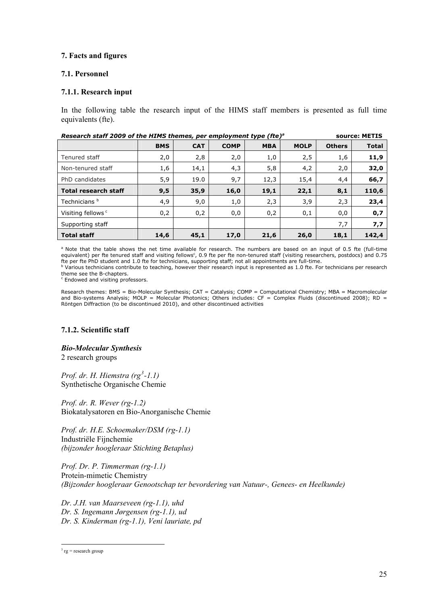## **7. Facts and figures**

#### **7.1. Personnel**

## **7.1.1. Research input**

In the following table the research input of the HIMS staff members is presented as full time equivalents (fte).

| Research staff 2009 of the HIMS themes, per employment type (fte) <sup>a</sup><br>source: METIS |            |            |             |            |             |               |              |  |
|-------------------------------------------------------------------------------------------------|------------|------------|-------------|------------|-------------|---------------|--------------|--|
|                                                                                                 | <b>BMS</b> | <b>CAT</b> | <b>COMP</b> | <b>MBA</b> | <b>MOLP</b> | <b>Others</b> | <b>Total</b> |  |
| Tenured staff                                                                                   | 2,0        | 2,8        | 2,0         | 1,0        | 2,5         | 1,6           | 11,9         |  |
| Non-tenured staff                                                                               | 1,6        | 14,1       | 4,3         | 5,8        | 4,2         | 2,0           | 32,0         |  |
| PhD candidates                                                                                  | 5,9        | 19.0       | 9,7         | 12,3       | 15,4        | 4,4           | 66,7         |  |
| <b>Total research staff</b>                                                                     | 9,5        | 35,9       | 16,0        | 19,1       | 22,1        | 8,1           | 110,6        |  |
| Technicians <sup>b</sup>                                                                        | 4,9        | 9,0        | 1,0         | 2,3        | 3,9         | 2,3           | 23,4         |  |
| Visiting fellows <sup>c</sup>                                                                   | 0,2        | 0,2        | 0,0         | 0,2        | 0,1         | 0,0           | 0,7          |  |
| Supporting staff                                                                                |            |            |             |            |             | 7,7           | 7,7          |  |
| <b>Total staff</b>                                                                              | 14,6       | 45,1       | 17,0        | 21,6       | 26,0        | 18,1          | 142,4        |  |

<sup>a</sup> Note that the table shows the net time available for research. The numbers are based on an input of 0.5 fte (full-time equivalent) per fte tenured staff and visiting fellows<sup>c</sup>, 0.9 fte per fte non-tenured staff (visiting researchers, postdocs) and 0.75 fte per fte PhD student and 1.0 fte for technicians, supporting staff; not all appointments are full-time.<br><sup>b</sup> Various technicians contribute to teaching, however their research input is represented as 1.0 fte. For technic

theme see the B-chapters.

c Endowed and visiting professors.

Research themes: BMS = Bio-Molecular Synthesis; CAT = Catalysis; COMP = Computational Chemistry; MBA = Macromolecular and Bio-systems Analysis; MOLP = Molecular Photonics; Others includes: CF = Complex Fluids (discontinued 2008); RD = Röntgen Diffraction (to be discontinued 2010), and other discontinued activities

# **7.1.2. Scientific staff**

*Bio-Molecular Synthesis*  2 research groups

*Prof. dr. H. Hiemstra (rg[3](#page-24-0) -1.1)*  Synthetische Organische Chemie

*Prof. dr. R. Wever (rg-1.2)*  Biokatalysatoren en Bio-Anorganische Chemie

*Prof. dr. H.E. Schoemaker/DSM (rg-1.1)*  Industriële Fijnchemie *(bijzonder hoogleraar Stichting Betaplus)* 

*Prof. Dr. P. Timmerman (rg-1.1)*  Protein-mimetic Chemistry *(Bijzonder hoogleraar Genootschap ter bevordering van Natuur-, Genees- en Heelkunde)* 

*Dr. J.H. van Maarseveen (rg-1.1), uhd Dr. S. Ingemann Jørgensen (rg-1.1), ud Dr. S. Kinderman (rg-1.1), Veni lauriate, pd* 

<span id="page-24-0"></span><sup>&</sup>lt;u>.</u>  $3 \text{ rg} = \text{research} \text{ group}$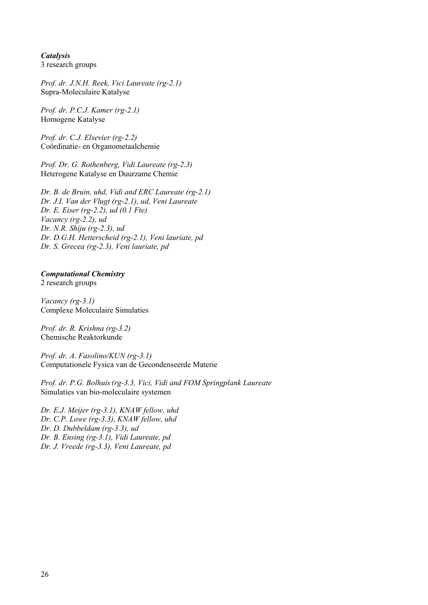*Catalysis* 

3 research groups

*Prof. dr. J.N.H. Reek, Vici Laureate (rg-2.1)*  Supra-Moleculaire Katalyse

*Prof. dr. P.C.J. Kamer (rg-2.1)*  Homogene Katalyse

*Prof. dr. C.J. Elsevier (rg-2.2)*  Coördinatie- en Organometaalchemie

*Prof. Dr. G. Rothenberg, Vidi Laureate (rg-2.3)*  Heterogene Katalyse en Duurzame Chemie

*Dr. B. de Bruin, uhd, Vidi and ERC Laureate (rg-2.1) Dr. J.I. Van der Vlugt (rg-2.1), ud, Veni Laureate Dr. E. Eiser (rg-2.2), ud (0.1 Fte) Vacancy (rg-2.2), ud Dr. N.R. Shiju (rg-2.3), ud Dr. D.G.H. Hetterscheid (rg-2.1), Veni lauriate, pd Dr. S. Grecea (rg-2.3), Veni lauriate, pd* 

# *Computational Chemistry*

2 research groups

*Vacancy (rg-3.1)*  Complexe Moleculaire Simulaties

*Prof. dr. R. Krishna (rg-3.2)*  Chemische Reaktorkunde

*Prof. dr. A. Fasolino/KUN (rg-3.1)*  Computationele Fysica van de Gecondenseerde Materie

*Prof. dr. P.G. Bolhuis(rg-3.3, Vici, Vidi and FOM Springplank Laureate*  Simulaties van bio-moleculaire systemen

*Dr. E.J. Meijer (rg-3.1), KNAW fellow, uhd Dr. C.P. Lowe (rg-3.3), KNAW fellow, uhd Dr. D. Dubbeldam (rg-3.3), ud Dr. B. Ensing (rg-3.1), Vidi Laureate, pd Dr. J. Vreede (rg-3.3), Veni Laureate, pd*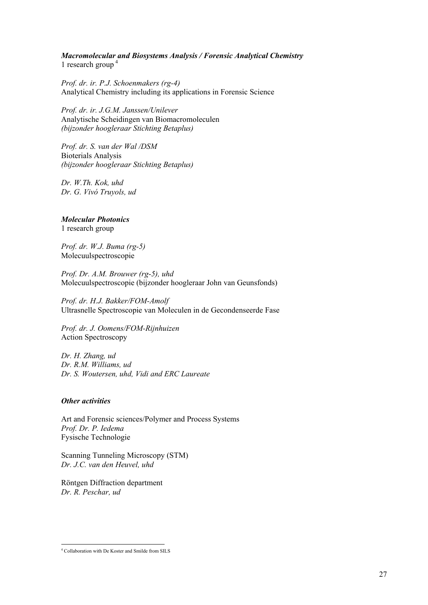# *Macromolecular and Biosystems Analysis / Forensic Analytical Chemistry*

1 research group [4](#page-26-0)

*Prof. dr. ir. P.J. Schoenmakers (rg-4)*  Analytical Chemistry including its applications in Forensic Science

*Prof. dr. ir. J.G.M. Janssen/Unilever*  Analytische Scheidingen van Biomacromoleculen *(bijzonder hoogleraar Stichting Betaplus)* 

*Prof. dr. S. van der Wal /DSM*  Bioterials Analysis *(bijzonder hoogleraar Stichting Betaplus)* 

*Dr. W.Th. Kok, uhd Dr. G. Vivó Truyols, ud* 

# *Molecular Photonics*

1 research group

*Prof. dr. W.J. Buma (rg-5)*  Molecuulspectroscopie

*Prof. Dr. A.M. Brouwer (rg-5), uhd*  Molecuulspectroscopie (bijzonder hoogleraar John van Geunsfonds)

*Prof. dr. H.J. Bakker/FOM-Amolf*  Ultrasnelle Spectroscopie van Moleculen in de Gecondenseerde Fase

*Prof. dr. J. Oomens/FOM-Rijnhuizen*  Action Spectroscopy

*Dr. H. Zhang, ud Dr. R.M. Williams, ud Dr. S. Woutersen, uhd, Vidi and ERC Laureate* 

# *Other activities*

Art and Forensic sciences/Polymer and Process Systems *Prof. Dr. P. Iedema*  Fysische Technologie

Scanning Tunneling Microscopy (STM) *Dr. J.C. van den Heuvel, uhd* 

Röntgen Diffraction department *Dr. R. Peschar, ud* 

<span id="page-26-0"></span><sup>-&</sup>lt;br><sup>4</sup> Collaboration with De Koster and Smilde from SILS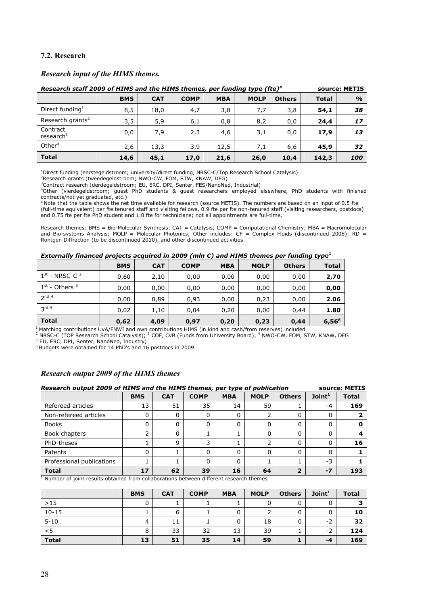# **7.2. Research**

#### *Research input of the HIMS themes.*

| Research staff 2009 of HIMS and the HIMS themes, per funding type (fte) <sup>a</sup> |            |            |             |            |             |               |              | source: METIS |
|--------------------------------------------------------------------------------------|------------|------------|-------------|------------|-------------|---------------|--------------|---------------|
|                                                                                      | <b>BMS</b> | <b>CAT</b> | <b>COMP</b> | <b>MBA</b> | <b>MOLP</b> | <b>Others</b> | <b>Total</b> | $\frac{1}{2}$ |
| Direct funding <sup>1</sup>                                                          | 8,5        | 18,0       | 4,7         | 3,8        | 7,7         | 3,8           | 54,1         | 38            |
| Research grants <sup>2</sup>                                                         | 3,5        | 5,9        | 6,1         | 0,8        | 8,2         | 0,0           | 24,4         | 17            |
| Contract<br>research $3$                                                             | 0,0        | 7,9        | 2,3         | 4,6        | 3,1         | 0,0           | 17,9         | 13            |
| Other $4$                                                                            | 2,6        | 13,3       | 3,9         | 12,5       | 7,1         | 6,6           | 45,9         | 32            |
| <b>Total</b>                                                                         | 14,6       | 45,1       | 17,0        | 21,6       | 26,0        | 10,4          | 142,3        | 100           |

<sup>1</sup>Direct funding (eerstegeldstroom; university/direct funding, NRSC-C/Top Research School Catalysis)<br><sup>2</sup>Research grants (tweedegeldstroom; NWO-CW, FOM, STW, KNAW, DFG)<br><sup>3</sup>Contract research (derdegeldstroom; EU, ERC, DPI,

Other (vierdegeldstroom; guest PhD students & guest researchers employed elsewhere, PhD students with finished contracts/not yet graduated, etc.)

<sup>a</sup> Note that the table shows the net time available for research (source METIS). The numbers are based on an input of 0.5 fte (full-time equivalent) per fte tenured staff and visiting fellows, 0.9 fte per fte non-tenured staff (visiting researchers, postdocs) and 0.75 fte per fte PhD student and 1.0 fte for technicians; not all appointments are full-time.

Research themes: BMS = Bio-Molecular Synthesis; CAT = Catalysis; COMP = Computational Chemistry; MBA = Macromolecular and Bio-systems Analysis; MOLP = Molecular Photonics; Other includes: CF = Complex Fluids (discontinued 2008); RD = Röntgen Diffraction (to be discontinued 2010), and other discontinued activities

#### *Externally financed projects acquired in 2009 (mln €) and HIMS themes per funding type<sup>1</sup>*

|                    | <b>BMS</b> | <b>CAT</b> | <b>COMP</b> | <b>MBA</b> | <b>MOLP</b> | <b>Others</b> | <b>Total</b>      |
|--------------------|------------|------------|-------------|------------|-------------|---------------|-------------------|
| $1st$ - NRSC-C $2$ | 0,60       | 2,10       | 0,00        | 0,00       | 0,00        | 0,00          | 2,70              |
| $1st$ - Others $3$ | 0,00       | 0,00       | 0,00        | 0,00       | 0,00        | 0,00          | 0,00              |
| 2 <sup>nd 4</sup>  | 0,00       | 0,89       | 0,93        | 0,00       | 0,23        | 0,00          | 2.06              |
| $3rd$ 5            | 0,02       | 1,10       | 0,04        | 0,20       | 0,00        | 0,44          | 1.80              |
| <b>Total</b>       | 0,62       | 4,09       | 0,97        | 0,20       | 0,23        | 0,44          | 6,56 <sup>6</sup> |

<sup>1</sup> Matching contributions UvA/FNWI and own contributions HIMS (in kind and cash/from reserves) included<br><sup>2</sup> NRSC-C (TOP Research School Catalysis); <sup>3</sup> COF, CvB (Funds from University Board); <sup>4</sup> NWO-CW, FOM, STW, KNAW, D

6 Budgets were obtained for 14 PhD's and 16 postdocs in 2009

#### *Research output 2009 of the HIMS themes*

| Research output 2009 of HIMS and the HIMS themes, per type of publication |            |            |                |            |             | source: METIS |                   |              |
|---------------------------------------------------------------------------|------------|------------|----------------|------------|-------------|---------------|-------------------|--------------|
|                                                                           | <b>BMS</b> | <b>CAT</b> | <b>COMP</b>    | <b>MBA</b> | <b>MOLP</b> | <b>Others</b> | Join <sup>1</sup> | <b>Total</b> |
| Refereed articles                                                         | 13         | 51         | 35             | 14         | 59          |               | -4                | 169          |
| Non-refereed articles                                                     | 0          |            | 0              |            |             |               | 0                 |              |
| <b>Books</b>                                                              | ი          |            | $\Omega$       |            | $\Omega$    |               | 0                 |              |
| Book chapters                                                             | ∍          |            |                |            | O           |               | 0                 |              |
| PhD-theses                                                                |            | a          | 3              |            |             |               | 0                 | 16           |
| Patents                                                                   |            |            |                |            | $\Omega$    |               | 0                 |              |
| Professional publications                                                 |            |            |                |            |             |               | $-3$              |              |
| <b>Total</b>                                                              | 17         | 62         | 39<br>$\cdots$ | 16         | 64          |               | $-7$              | 193          |

 $<sup>1</sup>$  Number of joint results obtained from collaborations between different research themes</sup>

|              | <b>BMS</b> | <b>CAT</b> | <b>COMP</b> | <b>MBA</b> | <b>MOLP</b> | <b>Others</b> | Join <sup>1</sup> | <b>Total</b> |
|--------------|------------|------------|-------------|------------|-------------|---------------|-------------------|--------------|
| $>15$        |            |            |             |            |             |               |                   |              |
| $10 - 15$    |            |            |             |            | ∍           |               | 0                 | 10           |
| $5 - 10$     | 4          | 11         |             |            | 18          |               | $-2$              | 32           |
| $<$ 5        | 8          | 33         | 32          | 13         | 39          |               | $-2$              | 124          |
| <b>Total</b> | 13         | 51         | 35          | 14         | 59          |               | -4                | 169          |